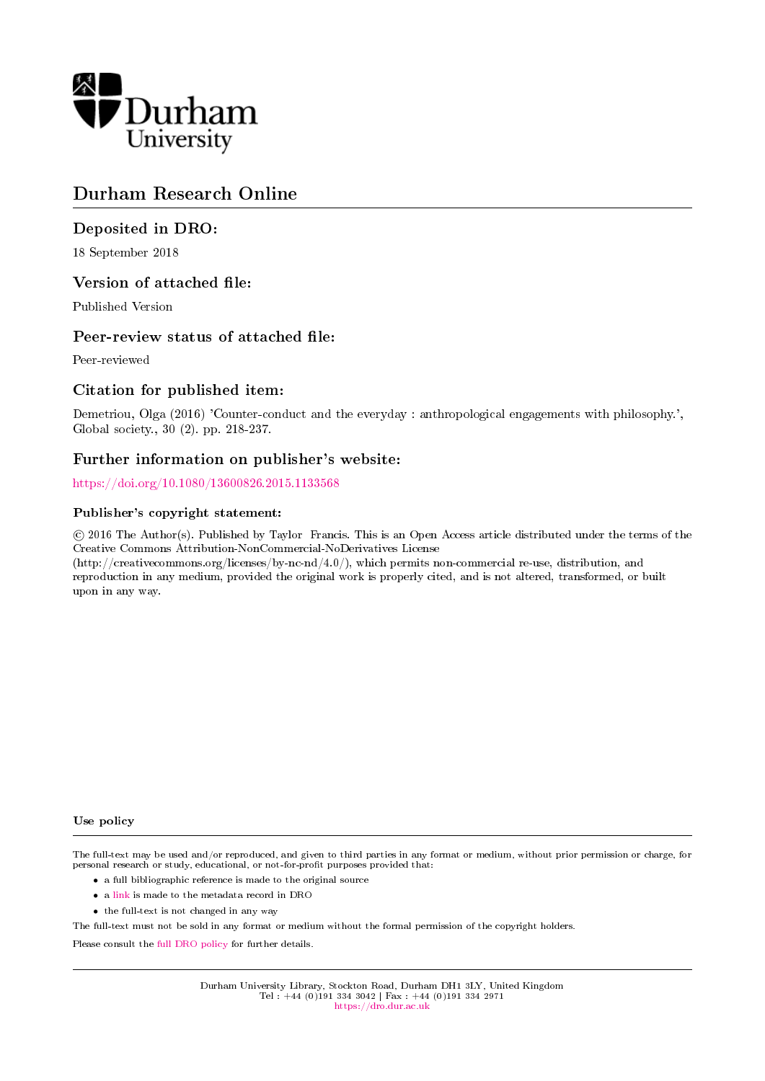

# Durham Research Online

# Deposited in DRO:

18 September 2018

## Version of attached file:

Published Version

## Peer-review status of attached file:

Peer-reviewed

## Citation for published item:

Demetriou, Olga (2016) 'Counter-conduct and the everyday : anthropological engagements with philosophy.', Global society., 30 (2). pp. 218-237.

# Further information on publisher's website:

<https://doi.org/10.1080/13600826.2015.1133568>

#### Publisher's copyright statement:

 c 2016 The Author(s). Published by Taylor Francis. This is an Open Access article distributed under the terms of the Creative Commons Attribution-NonCommercial-NoDerivatives License

(http://creativecommons.org/licenses/by-nc-nd/4.0/), which permits non-commercial re-use, distribution, and reproduction in any medium, provided the original work is properly cited, and is not altered, transformed, or built upon in any way.

#### Use policy

The full-text may be used and/or reproduced, and given to third parties in any format or medium, without prior permission or charge, for personal research or study, educational, or not-for-profit purposes provided that:

- a full bibliographic reference is made to the original source
- a [link](http://dro.dur.ac.uk/26228/) is made to the metadata record in DRO
- the full-text is not changed in any way

The full-text must not be sold in any format or medium without the formal permission of the copyright holders.

Please consult the [full DRO policy](https://dro.dur.ac.uk/policies/usepolicy.pdf) for further details.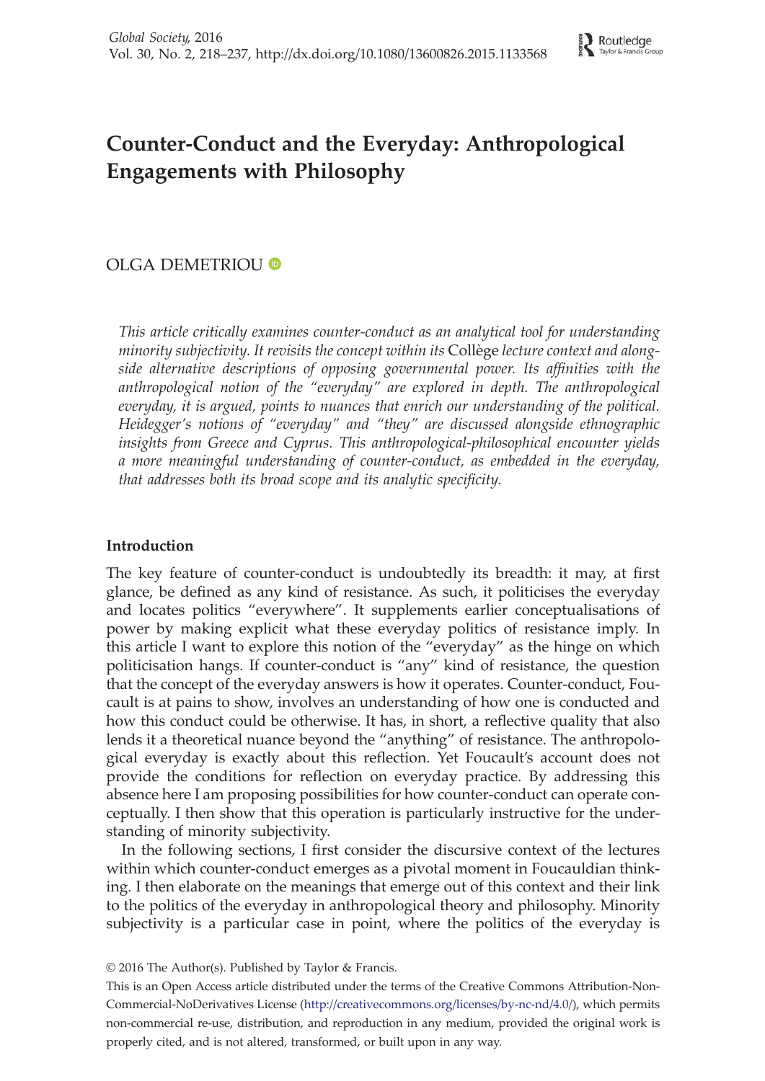# Counter-Conduct and the Everyday: Anthropological Engagements with Philosophy

# OLGA DEMETRIOU<sup>®</sup>

This article critically examines counter-conduct as an analytical tool for understanding minority subjectivity. It revisits the concept within its Collège lecture context and alongside alternative descriptions of opposing governmental power. Its affinities with the anthropological notion of the "everyday" are explored in depth. The anthropological everyday, it is argued, points to nuances that enrich our understanding of the political. Heidegger's notions of "everyday" and "they" are discussed alongside ethnographic insights from Greece and Cyprus. This anthropological-philosophical encounter yields a more meaningful understanding of counter-conduct, as embedded in the everyday, that addresses both its broad scope and its analytic specificity.

# Introduction

The key feature of counter-conduct is undoubtedly its breadth: it may, at first glance, be defined as any kind of resistance. As such, it politicises the everyday and locates politics "everywhere". It supplements earlier conceptualisations of power by making explicit what these everyday politics of resistance imply. In this article I want to explore this notion of the "everyday" as the hinge on which politicisation hangs. If counter-conduct is "any" kind of resistance, the question that the concept of the everyday answers is how it operates. Counter-conduct, Foucault is at pains to show, involves an understanding of how one is conducted and how this conduct could be otherwise. It has, in short, a reflective quality that also lends it a theoretical nuance beyond the "anything" of resistance. The anthropological everyday is exactly about this reflection. Yet Foucault's account does not provide the conditions for reflection on everyday practice. By addressing this absence here I am proposing possibilities for how counter-conduct can operate conceptually. I then show that this operation is particularly instructive for the understanding of minority subjectivity.

In the following sections, I first consider the discursive context of the lectures within which counter-conduct emerges as a pivotal moment in Foucauldian thinking. I then elaborate on the meanings that emerge out of this context and their link to the politics of the everyday in anthropological theory and philosophy. Minority subjectivity is a particular case in point, where the politics of the everyday is

© 2016 The Author(s). Published by Taylor & Francis.

This is an Open Access article distributed under the terms of the Creative Commons Attribution-Non-Commercial-NoDerivatives License (http://creativecommons.org/licenses/by-nc-nd/4.0/), which permits non-commercial re-use, distribution, and reproduction in any medium, provided the original work is properly cited, and is not altered, transformed, or built upon in any way.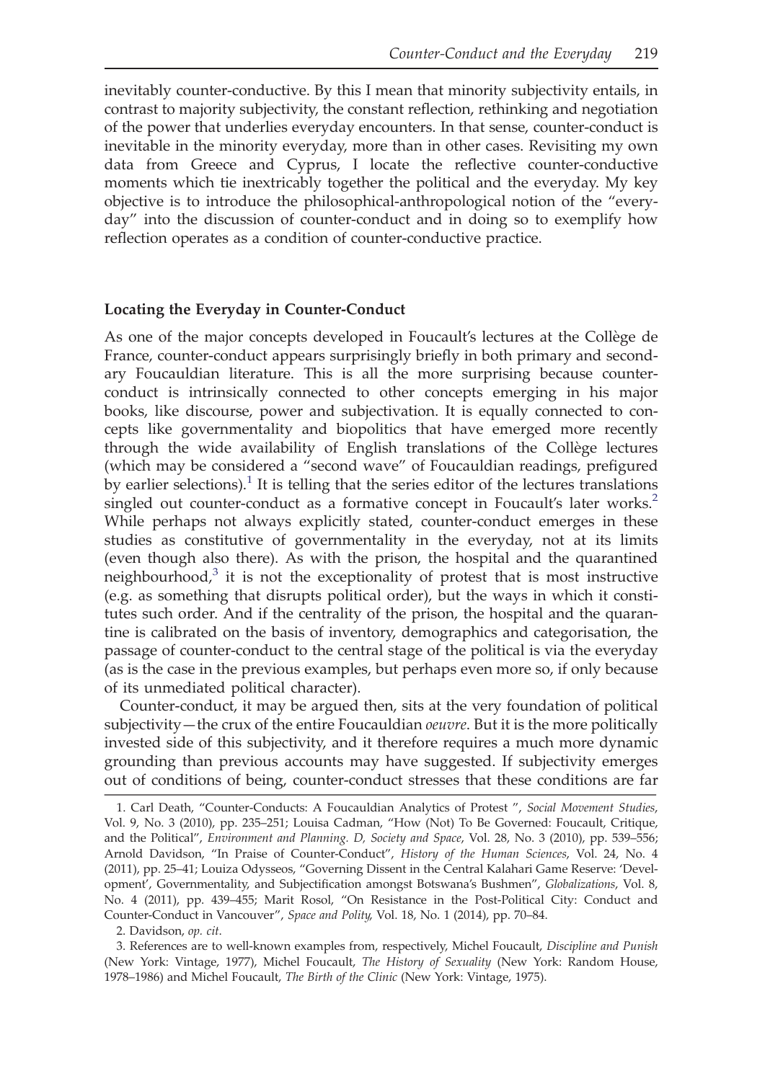inevitably counter-conductive. By this I mean that minority subjectivity entails, in contrast to majority subjectivity, the constant reflection, rethinking and negotiation of the power that underlies everyday encounters. In that sense, counter-conduct is inevitable in the minority everyday, more than in other cases. Revisiting my own data from Greece and Cyprus, I locate the reflective counter-conductive moments which tie inextricably together the political and the everyday. My key objective is to introduce the philosophical-anthropological notion of the "everyday" into the discussion of counter-conduct and in doing so to exemplify how reflection operates as a condition of counter-conductive practice.

#### Locating the Everyday in Counter-Conduct

As one of the major concepts developed in Foucault's lectures at the Collège de France, counter-conduct appears surprisingly briefly in both primary and secondary Foucauldian literature. This is all the more surprising because counterconduct is intrinsically connected to other concepts emerging in his major books, like discourse, power and subjectivation. It is equally connected to concepts like governmentality and biopolitics that have emerged more recently through the wide availability of English translations of the Collège lectures (which may be considered a "second wave" of Foucauldian readings, prefigured by earlier selections).<sup>1</sup> It is telling that the series editor of the lectures translations singled out counter-conduct as a formative concept in Foucault's later works.<sup>2</sup> While perhaps not always explicitly stated, counter-conduct emerges in these studies as constitutive of governmentality in the everyday, not at its limits (even though also there). As with the prison, the hospital and the quarantined neighbourhood, $3$  it is not the exceptionality of protest that is most instructive (e.g. as something that disrupts political order), but the ways in which it constitutes such order. And if the centrality of the prison, the hospital and the quarantine is calibrated on the basis of inventory, demographics and categorisation, the passage of counter-conduct to the central stage of the political is via the everyday (as is the case in the previous examples, but perhaps even more so, if only because of its unmediated political character).

Counter-conduct, it may be argued then, sits at the very foundation of political subjectivity—the crux of the entire Foucauldian oeuvre. But it is the more politically invested side of this subjectivity, and it therefore requires a much more dynamic grounding than previous accounts may have suggested. If subjectivity emerges out of conditions of being, counter-conduct stresses that these conditions are far

<sup>1.</sup> Carl Death, "Counter-Conducts: A Foucauldian Analytics of Protest ", Social Movement Studies, Vol. 9, No. 3 (2010), pp. 235–251; Louisa Cadman, "How (Not) To Be Governed: Foucault, Critique, and the Political", Environment and Planning. D, Society and Space, Vol. 28, No. 3 (2010), pp. 539–556; Arnold Davidson, "In Praise of Counter-Conduct", History of the Human Sciences, Vol. 24, No. 4 (2011), pp. 25–41; Louiza Odysseos, "Governing Dissent in the Central Kalahari Game Reserve: 'Development', Governmentality, and Subjectification amongst Botswana's Bushmen", Globalizations, Vol. 8, No. 4 (2011), pp. 439–455; Marit Rosol, "On Resistance in the Post-Political City: Conduct and Counter-Conduct in Vancouver", Space and Polity, Vol. 18, No. 1 (2014), pp. 70–84.

<sup>2.</sup> Davidson, op. cit.

<sup>3.</sup> References are to well-known examples from, respectively, Michel Foucault, Discipline and Punish (New York: Vintage, 1977), Michel Foucault, The History of Sexuality (New York: Random House, 1978–1986) and Michel Foucault, The Birth of the Clinic (New York: Vintage, 1975).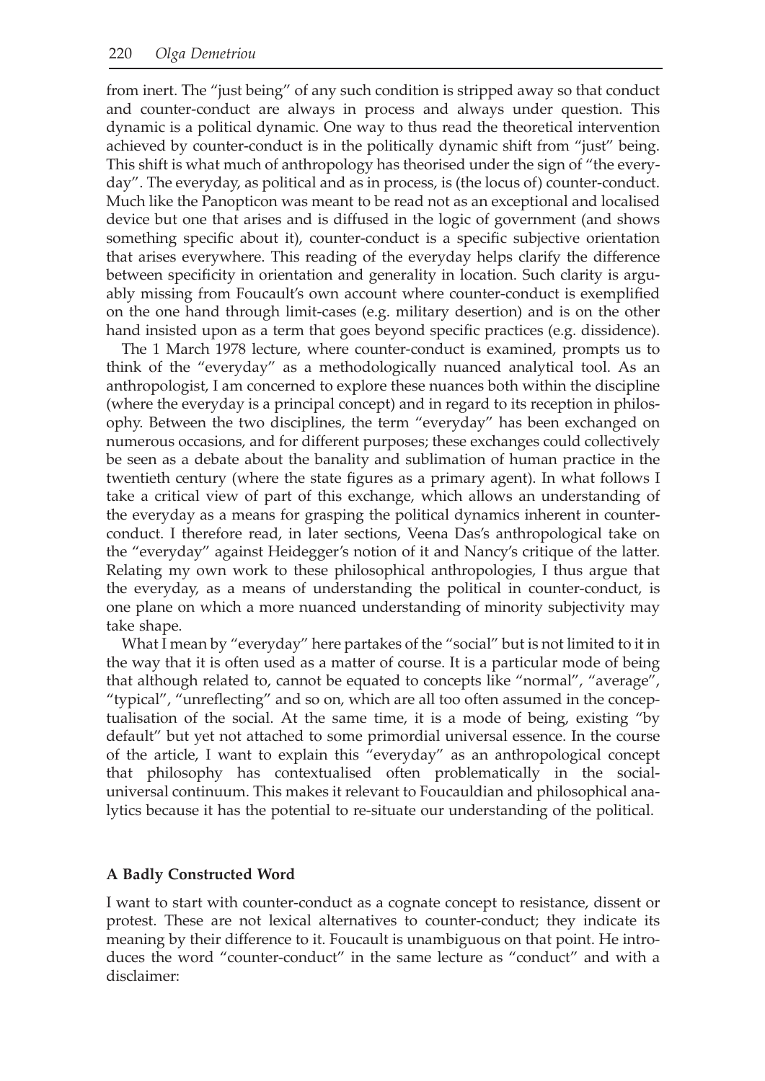from inert. The "just being" of any such condition is stripped away so that conduct and counter-conduct are always in process and always under question. This dynamic is a political dynamic. One way to thus read the theoretical intervention achieved by counter-conduct is in the politically dynamic shift from "just" being. This shift is what much of anthropology has theorised under the sign of "the everyday". The everyday, as political and as in process, is (the locus of) counter-conduct. Much like the Panopticon was meant to be read not as an exceptional and localised device but one that arises and is diffused in the logic of government (and shows something specific about it), counter-conduct is a specific subjective orientation that arises everywhere. This reading of the everyday helps clarify the difference between specificity in orientation and generality in location. Such clarity is arguably missing from Foucault's own account where counter-conduct is exemplified on the one hand through limit-cases (e.g. military desertion) and is on the other hand insisted upon as a term that goes beyond specific practices (e.g. dissidence).

The 1 March 1978 lecture, where counter-conduct is examined, prompts us to think of the "everyday" as a methodologically nuanced analytical tool. As an anthropologist, I am concerned to explore these nuances both within the discipline (where the everyday is a principal concept) and in regard to its reception in philosophy. Between the two disciplines, the term "everyday" has been exchanged on numerous occasions, and for different purposes; these exchanges could collectively be seen as a debate about the banality and sublimation of human practice in the twentieth century (where the state figures as a primary agent). In what follows I take a critical view of part of this exchange, which allows an understanding of the everyday as a means for grasping the political dynamics inherent in counterconduct. I therefore read, in later sections, Veena Das's anthropological take on the "everyday" against Heidegger's notion of it and Nancy's critique of the latter. Relating my own work to these philosophical anthropologies, I thus argue that the everyday, as a means of understanding the political in counter-conduct, is one plane on which a more nuanced understanding of minority subjectivity may take shape.

What I mean by "everyday" here partakes of the "social" but is not limited to it in the way that it is often used as a matter of course. It is a particular mode of being that although related to, cannot be equated to concepts like "normal", "average", "typical", "unreflecting" and so on, which are all too often assumed in the conceptualisation of the social. At the same time, it is a mode of being, existing "by default" but yet not attached to some primordial universal essence. In the course of the article, I want to explain this "everyday" as an anthropological concept that philosophy has contextualised often problematically in the socialuniversal continuum. This makes it relevant to Foucauldian and philosophical analytics because it has the potential to re-situate our understanding of the political.

# A Badly Constructed Word

I want to start with counter-conduct as a cognate concept to resistance, dissent or protest. These are not lexical alternatives to counter-conduct; they indicate its meaning by their difference to it. Foucault is unambiguous on that point. He introduces the word "counter-conduct" in the same lecture as "conduct" and with a disclaimer: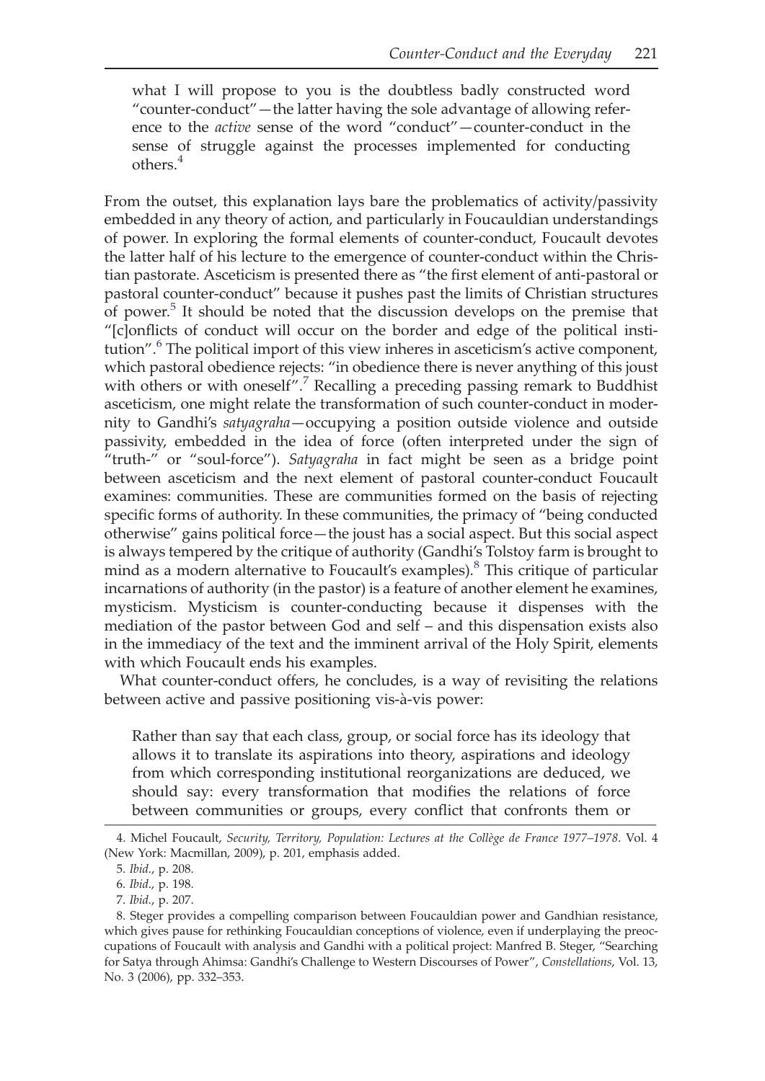what I will propose to you is the doubtless badly constructed word "counter-conduct"—the latter having the sole advantage of allowing reference to the active sense of the word "conduct"—counter-conduct in the sense of struggle against the processes implemented for conducting others.<sup>4</sup>

From the outset, this explanation lays bare the problematics of activity/passivity embedded in any theory of action, and particularly in Foucauldian understandings of power. In exploring the formal elements of counter-conduct, Foucault devotes the latter half of his lecture to the emergence of counter-conduct within the Christian pastorate. Asceticism is presented there as "the first element of anti-pastoral or pastoral counter-conduct" because it pushes past the limits of Christian structures of power.<sup>5</sup> It should be noted that the discussion develops on the premise that "[c]onflicts of conduct will occur on the border and edge of the political institution". <sup>6</sup> The political import of this view inheres in asceticism's active component, which pastoral obedience rejects: "in obedience there is never anything of this joust with others or with oneself".<sup>7</sup> Recalling a preceding passing remark to Buddhist asceticism, one might relate the transformation of such counter-conduct in modernity to Gandhi's satyagraha—occupying a position outside violence and outside passivity, embedded in the idea of force (often interpreted under the sign of "truth-" or "soul-force"). Satyagraha in fact might be seen as a bridge point between asceticism and the next element of pastoral counter-conduct Foucault examines: communities. These are communities formed on the basis of rejecting specific forms of authority. In these communities, the primacy of "being conducted otherwise" gains political force—the joust has a social aspect. But this social aspect is always tempered by the critique of authority (Gandhi's Tolstoy farm is brought to mind as a modern alternative to Foucault's examples). $8$  This critique of particular incarnations of authority (in the pastor) is a feature of another element he examines, mysticism. Mysticism is counter-conducting because it dispenses with the mediation of the pastor between God and self – and this dispensation exists also in the immediacy of the text and the imminent arrival of the Holy Spirit, elements with which Foucault ends his examples.

What counter-conduct offers, he concludes, is a way of revisiting the relations between active and passive positioning vis-à-vis power:

Rather than say that each class, group, or social force has its ideology that allows it to translate its aspirations into theory, aspirations and ideology from which corresponding institutional reorganizations are deduced, we should say: every transformation that modifies the relations of force between communities or groups, every conflict that confronts them or

<sup>4.</sup> Michel Foucault, Security, Territory, Population: Lectures at the Collège de France 1977–1978. Vol. 4 (New York: Macmillan, 2009), p. 201, emphasis added.

<sup>5.</sup> Ibid., p. 208.

<sup>6.</sup> Ibid., p. 198.

<sup>7.</sup> Ibid., p. 207.

<sup>8.</sup> Steger provides a compelling comparison between Foucauldian power and Gandhian resistance, which gives pause for rethinking Foucauldian conceptions of violence, even if underplaying the preoccupations of Foucault with analysis and Gandhi with a political project: Manfred B. Steger, "Searching for Satya through Ahimsa: Gandhi's Challenge to Western Discourses of Power", Constellations, Vol. 13, No. 3 (2006), pp. 332–353.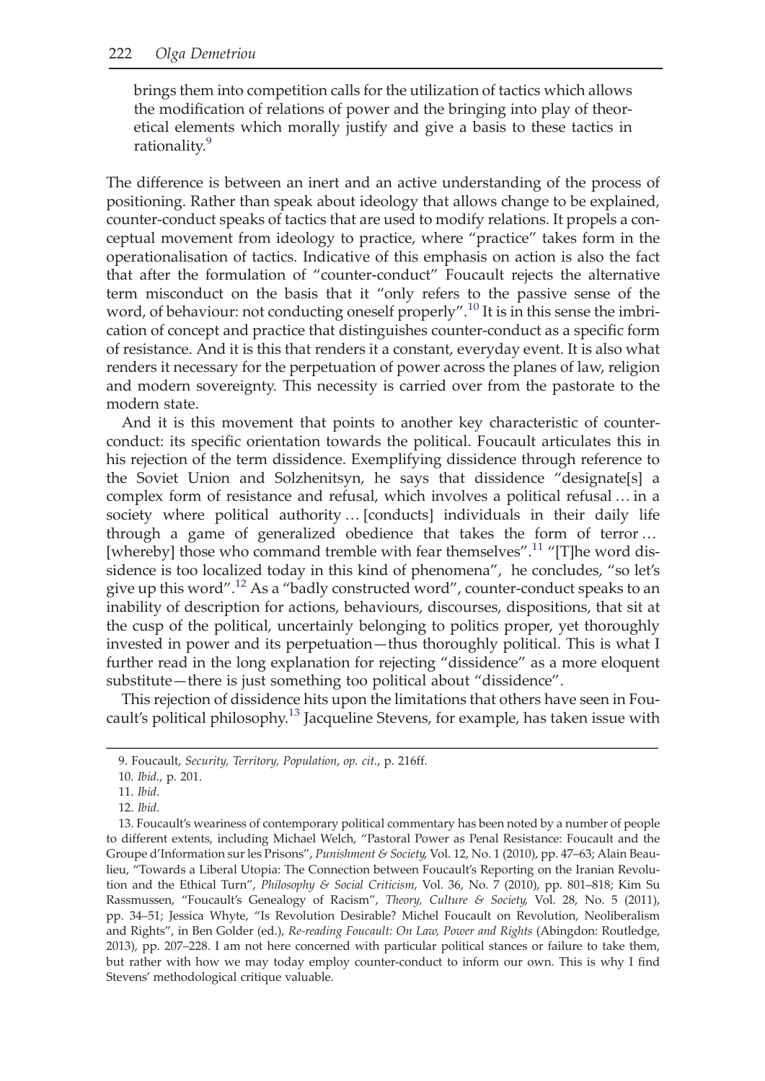brings them into competition calls for the utilization of tactics which allows the modification of relations of power and the bringing into play of theoretical elements which morally justify and give a basis to these tactics in rationality.<sup>9</sup>

The difference is between an inert and an active understanding of the process of positioning. Rather than speak about ideology that allows change to be explained, counter-conduct speaks of tactics that are used to modify relations. It propels a conceptual movement from ideology to practice, where "practice" takes form in the operationalisation of tactics. Indicative of this emphasis on action is also the fact that after the formulation of "counter-conduct" Foucault rejects the alternative term misconduct on the basis that it "only refers to the passive sense of the word, of behaviour: not conducting oneself properly".<sup>10</sup> It is in this sense the imbrication of concept and practice that distinguishes counter-conduct as a specific form of resistance. And it is this that renders it a constant, everyday event. It is also what renders it necessary for the perpetuation of power across the planes of law, religion and modern sovereignty. This necessity is carried over from the pastorate to the modern state.

And it is this movement that points to another key characteristic of counterconduct: its specific orientation towards the political. Foucault articulates this in his rejection of the term dissidence. Exemplifying dissidence through reference to the Soviet Union and Solzhenitsyn, he says that dissidence "designate[s] a complex form of resistance and refusal, which involves a political refusal … in a society where political authority … [conducts] individuals in their daily life through a game of generalized obedience that takes the form of terror … [whereby] those who command tremble with fear themselves".<sup>11</sup> "[T]he word dissidence is too localized today in this kind of phenomena", he concludes, "so let's give up this word".<sup>12</sup> As a "badly constructed word", counter-conduct speaks to an inability of description for actions, behaviours, discourses, dispositions, that sit at the cusp of the political, uncertainly belonging to politics proper, yet thoroughly invested in power and its perpetuation—thus thoroughly political. This is what I further read in the long explanation for rejecting "dissidence" as a more eloquent substitute—there is just something too political about "dissidence".

This rejection of dissidence hits upon the limitations that others have seen in Foucault's political philosophy.<sup>13</sup> Jacqueline Stevens, for example, has taken issue with

<sup>9.</sup> Foucault, Security, Territory, Population, op. cit., p. 216ff.

<sup>10.</sup> Ibid., p. 201.

<sup>11.</sup> Ibid.

<sup>12.</sup> Ibid.

<sup>13.</sup> Foucault's weariness of contemporary political commentary has been noted by a number of people to different extents, including Michael Welch, "Pastoral Power as Penal Resistance: Foucault and the Groupe d'Information sur les Prisons", Punishment & Society, Vol. 12, No. 1 (2010), pp. 47–63; Alain Beaulieu, "Towards a Liberal Utopia: The Connection between Foucault's Reporting on the Iranian Revolution and the Ethical Turn", Philosophy & Social Criticism, Vol. 36, No. 7 (2010), pp. 801-818; Kim Su Rassmussen, "Foucault's Genealogy of Racism", Theory, Culture & Society, Vol. 28, No. 5 (2011), pp. 34–51; Jessica Whyte, "Is Revolution Desirable? Michel Foucault on Revolution, Neoliberalism and Rights", in Ben Golder (ed.), Re-reading Foucault: On Law, Power and Rights (Abingdon: Routledge, 2013), pp. 207–228. I am not here concerned with particular political stances or failure to take them, but rather with how we may today employ counter-conduct to inform our own. This is why I find Stevens' methodological critique valuable.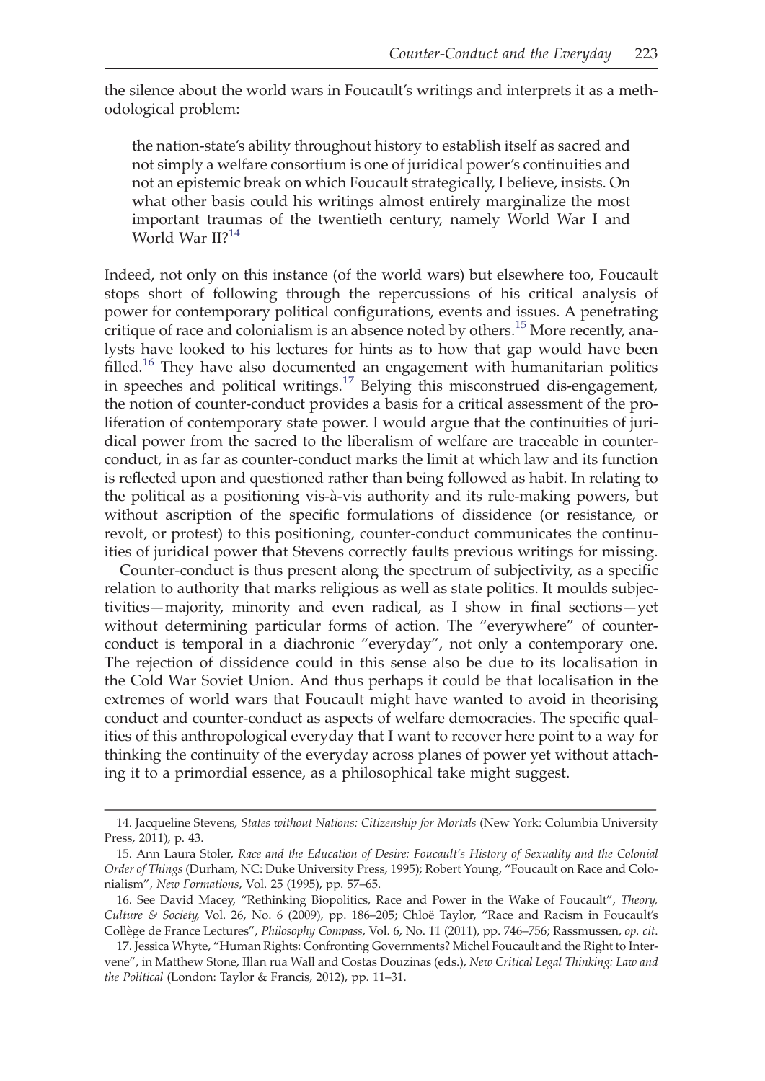the silence about the world wars in Foucault's writings and interprets it as a methodological problem:

the nation-state's ability throughout history to establish itself as sacred and not simply a welfare consortium is one of juridical power's continuities and not an epistemic break on which Foucault strategically, I believe, insists. On what other basis could his writings almost entirely marginalize the most important traumas of the twentieth century, namely World War I and World War  $II$ ?<sup>14</sup>

Indeed, not only on this instance (of the world wars) but elsewhere too, Foucault stops short of following through the repercussions of his critical analysis of power for contemporary political configurations, events and issues. A penetrating critique of race and colonialism is an absence noted by others.<sup>15</sup> More recently, analysts have looked to his lectures for hints as to how that gap would have been filled.<sup>16</sup> They have also documented an engagement with humanitarian politics in speeches and political writings.<sup>17</sup> Belying this misconstrued dis-engagement, the notion of counter-conduct provides a basis for a critical assessment of the proliferation of contemporary state power. I would argue that the continuities of juridical power from the sacred to the liberalism of welfare are traceable in counterconduct, in as far as counter-conduct marks the limit at which law and its function is reflected upon and questioned rather than being followed as habit. In relating to the political as a positioning vis-à-vis authority and its rule-making powers, but without ascription of the specific formulations of dissidence (or resistance, or revolt, or protest) to this positioning, counter-conduct communicates the continuities of juridical power that Stevens correctly faults previous writings for missing.

Counter-conduct is thus present along the spectrum of subjectivity, as a specific relation to authority that marks religious as well as state politics. It moulds subjectivities—majority, minority and even radical, as I show in final sections—yet without determining particular forms of action. The "everywhere" of counterconduct is temporal in a diachronic "everyday", not only a contemporary one. The rejection of dissidence could in this sense also be due to its localisation in the Cold War Soviet Union. And thus perhaps it could be that localisation in the extremes of world wars that Foucault might have wanted to avoid in theorising conduct and counter-conduct as aspects of welfare democracies. The specific qualities of this anthropological everyday that I want to recover here point to a way for thinking the continuity of the everyday across planes of power yet without attaching it to a primordial essence, as a philosophical take might suggest.

<sup>14.</sup> Jacqueline Stevens, States without Nations: Citizenship for Mortals (New York: Columbia University Press, 2011), p. 43.

<sup>15.</sup> Ann Laura Stoler, Race and the Education of Desire: Foucault's History of Sexuality and the Colonial Order of Things (Durham, NC: Duke University Press, 1995); Robert Young, "Foucault on Race and Colonialism", New Formations, Vol. 25 (1995), pp. 57–65.

<sup>16.</sup> See David Macey, "Rethinking Biopolitics, Race and Power in the Wake of Foucault", Theory, Culture & Society, Vol. 26, No. 6 (2009), pp. 186–205; Chloë Taylor, "Race and Racism in Foucault's Collège de France Lectures", Philosophy Compass, Vol. 6, No. 11 (2011), pp. 746–756; Rassmussen, op. cit.

<sup>17.</sup> Jessica Whyte, "Human Rights: Confronting Governments? Michel Foucault and the Right to Intervene", in Matthew Stone, Illan rua Wall and Costas Douzinas (eds.), New Critical Legal Thinking: Law and the Political (London: Taylor & Francis, 2012), pp. 11–31.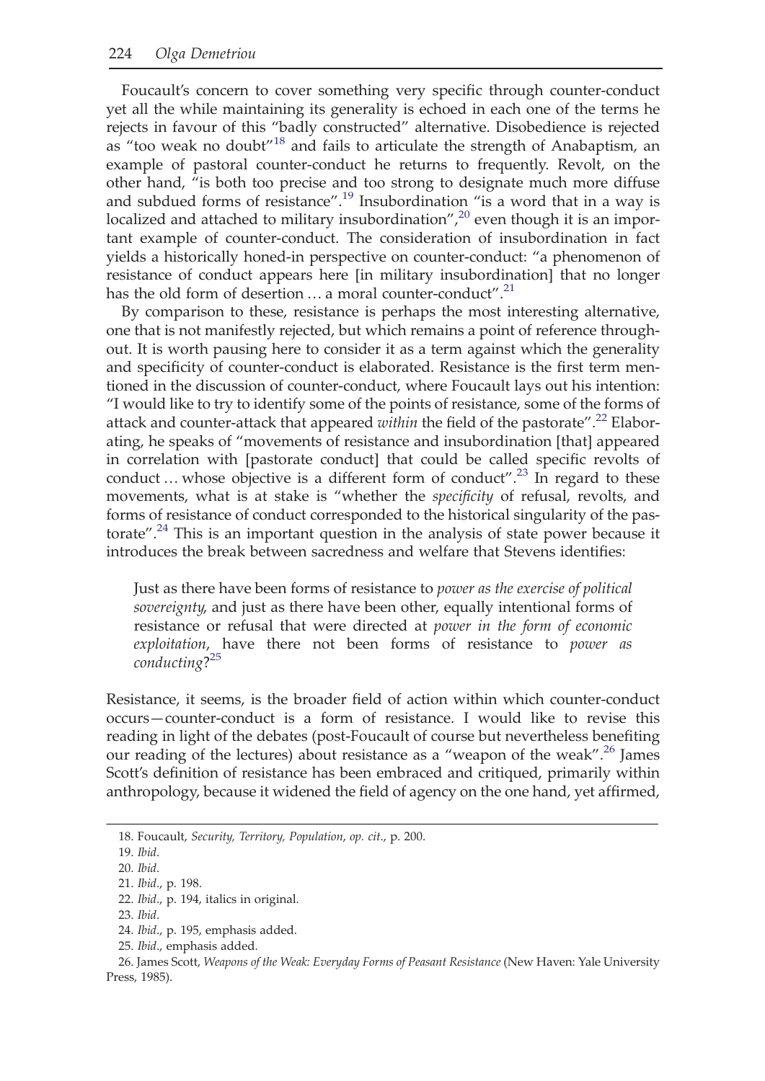Foucault's concern to cover something very specific through counter-conduct yet all the while maintaining its generality is echoed in each one of the terms he rejects in favour of this "badly constructed" alternative. Disobedience is rejected as "too weak no doubt"<sup>18</sup> and fails to articulate the strength of Anabaptism, an example of pastoral counter-conduct he returns to frequently. Revolt, on the other hand, "is both too precise and too strong to designate much more diffuse and subdued forms of resistance".<sup>19</sup> Insubordination "is a word that in a way is localized and attached to military insubordination",<sup>20</sup> even though it is an important example of counter-conduct. The consideration of insubordination in fact yields a historically honed-in perspective on counter-conduct: "a phenomenon of resistance of conduct appears here [in military insubordination] that no longer has the old form of desertion ... a moral counter-conduct".<sup>21</sup>

By comparison to these, resistance is perhaps the most interesting alternative, one that is not manifestly rejected, but which remains a point of reference throughout. It is worth pausing here to consider it as a term against which the generality and specificity of counter-conduct is elaborated. Resistance is the first term mentioned in the discussion of counter-conduct, where Foucault lays out his intention: "I would like to try to identify some of the points of resistance, some of the forms of attack and counter-attack that appeared within the field of the pastorate".<sup>22</sup> Elaborating, he speaks of "movements of resistance and insubordination [that] appeared in correlation with [pastorate conduct] that could be called specific revolts of conduct ... whose objective is a different form of conduct".<sup>23</sup> In regard to these movements, what is at stake is "whether the specificity of refusal, revolts, and forms of resistance of conduct corresponded to the historical singularity of the pastorate".<sup>24</sup> This is an important question in the analysis of state power because it introduces the break between sacredness and welfare that Stevens identifies:

Just as there have been forms of resistance to power as the exercise of political sovereignty, and just as there have been other, equally intentional forms of resistance or refusal that were directed at power in the form of economic exploitation, have there not been forms of resistance to power as conducting?<sup>25</sup>

Resistance, it seems, is the broader field of action within which counter-conduct occurs—counter-conduct is a form of resistance. I would like to revise this reading in light of the debates (post-Foucault of course but nevertheless benefiting our reading of the lectures) about resistance as a "weapon of the weak".<sup>26</sup> James Scott's definition of resistance has been embraced and critiqued, primarily within anthropology, because it widened the field of agency on the one hand, yet affirmed,

23. Ibid.

<sup>18.</sup> Foucault, Security, Territory, Population, op. cit., p. 200.

<sup>19.</sup> Ibid.

<sup>20.</sup> Ibid.

<sup>21.</sup> Ibid., p. 198.

<sup>22.</sup> Ibid., p. 194, italics in original.

<sup>24.</sup> Ibid., p. 195, emphasis added.

<sup>25.</sup> Ibid., emphasis added.

<sup>26.</sup> James Scott, Weapons of the Weak: Everyday Forms of Peasant Resistance (New Haven: Yale University Press, 1985).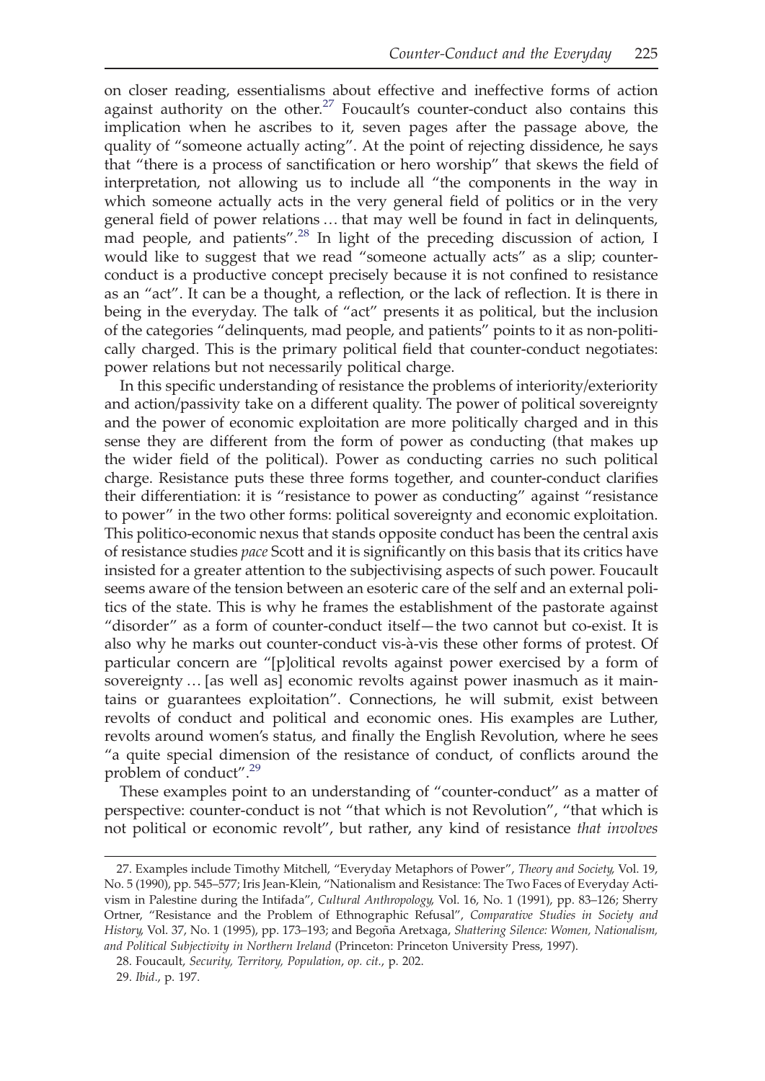on closer reading, essentialisms about effective and ineffective forms of action against authority on the other.<sup>27</sup> Foucault's counter-conduct also contains this implication when he ascribes to it, seven pages after the passage above, the quality of "someone actually acting". At the point of rejecting dissidence, he says that "there is a process of sanctification or hero worship" that skews the field of interpretation, not allowing us to include all "the components in the way in which someone actually acts in the very general field of politics or in the very general field of power relations … that may well be found in fact in delinquents, mad people, and patients".<sup>28</sup> In light of the preceding discussion of action, I would like to suggest that we read "someone actually acts" as a slip; counterconduct is a productive concept precisely because it is not confined to resistance as an "act". It can be a thought, a reflection, or the lack of reflection. It is there in being in the everyday. The talk of "act" presents it as political, but the inclusion of the categories "delinquents, mad people, and patients" points to it as non-politically charged. This is the primary political field that counter-conduct negotiates: power relations but not necessarily political charge.

In this specific understanding of resistance the problems of interiority/exteriority and action/passivity take on a different quality. The power of political sovereignty and the power of economic exploitation are more politically charged and in this sense they are different from the form of power as conducting (that makes up the wider field of the political). Power as conducting carries no such political charge. Resistance puts these three forms together, and counter-conduct clarifies their differentiation: it is "resistance to power as conducting" against "resistance to power" in the two other forms: political sovereignty and economic exploitation. This politico-economic nexus that stands opposite conduct has been the central axis of resistance studies pace Scott and it is significantly on this basis that its critics have insisted for a greater attention to the subjectivising aspects of such power. Foucault seems aware of the tension between an esoteric care of the self and an external politics of the state. This is why he frames the establishment of the pastorate against "disorder" as a form of counter-conduct itself—the two cannot but co-exist. It is also why he marks out counter-conduct vis-à-vis these other forms of protest. Of particular concern are "[p]olitical revolts against power exercised by a form of sovereignty ... [as well as] economic revolts against power inasmuch as it maintains or guarantees exploitation". Connections, he will submit, exist between revolts of conduct and political and economic ones. His examples are Luther, revolts around women's status, and finally the English Revolution, where he sees "a quite special dimension of the resistance of conduct, of conflicts around the problem of conduct". 29

These examples point to an understanding of "counter-conduct" as a matter of perspective: counter-conduct is not "that which is not Revolution", "that which is not political or economic revolt", but rather, any kind of resistance that involves

<sup>27.</sup> Examples include Timothy Mitchell, "Everyday Metaphors of Power", Theory and Society, Vol. 19, No. 5 (1990), pp. 545–577; Iris Jean-Klein, "Nationalism and Resistance: The Two Faces of Everyday Activism in Palestine during the Intifada", Cultural Anthropology, Vol. 16, No. 1 (1991), pp. 83–126; Sherry Ortner, "Resistance and the Problem of Ethnographic Refusal", Comparative Studies in Society and History, Vol. 37, No. 1 (1995), pp. 173–193; and Begoña Aretxaga, Shattering Silence: Women, Nationalism, and Political Subjectivity in Northern Ireland (Princeton: Princeton University Press, 1997).

<sup>28.</sup> Foucault, Security, Territory, Population, op. cit., p. 202.

<sup>29.</sup> Ibid., p. 197.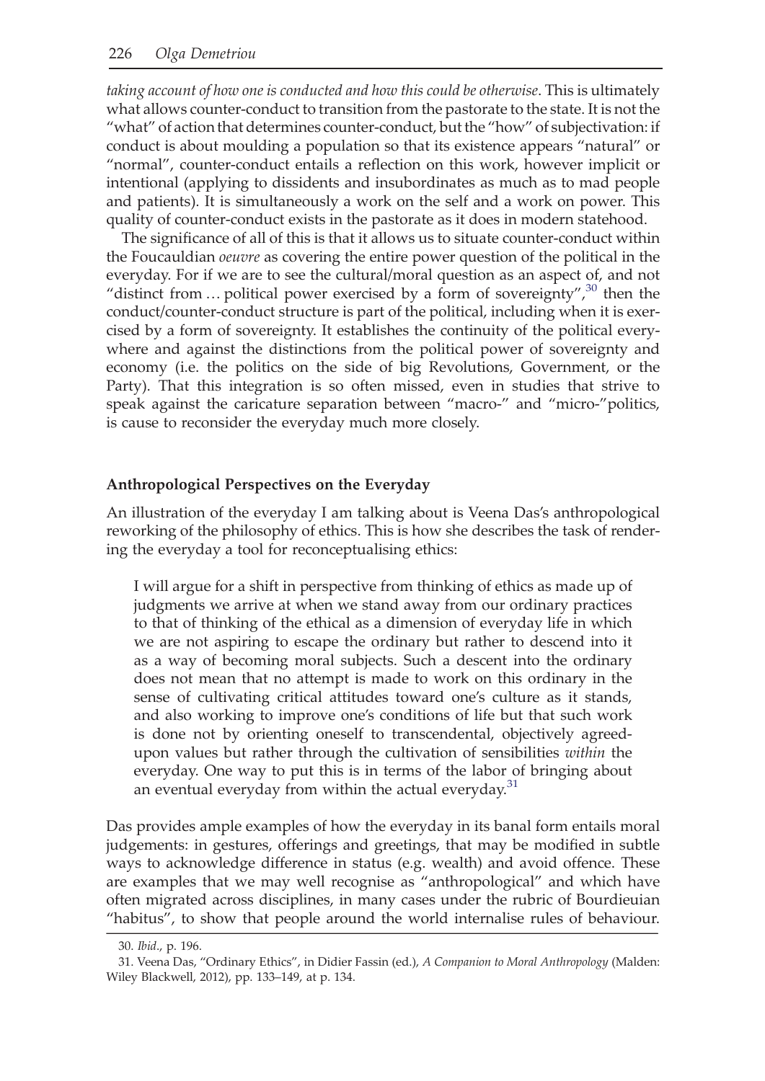taking account of how one is conducted and how this could be otherwise. This is ultimately what allows counter-conduct to transition from the pastorate to the state. It is not the "what" of action that determines counter-conduct, but the "how" of subjectivation: if conduct is about moulding a population so that its existence appears "natural" or "normal", counter-conduct entails a reflection on this work, however implicit or intentional (applying to dissidents and insubordinates as much as to mad people and patients). It is simultaneously a work on the self and a work on power. This quality of counter-conduct exists in the pastorate as it does in modern statehood.

The significance of all of this is that it allows us to situate counter-conduct within the Foucauldian oeuvre as covering the entire power question of the political in the everyday. For if we are to see the cultural/moral question as an aspect of, and not "distinct from ... political power exercised by a form of sovereignty", $30$  then the conduct/counter-conduct structure is part of the political, including when it is exercised by a form of sovereignty. It establishes the continuity of the political everywhere and against the distinctions from the political power of sovereignty and economy (i.e. the politics on the side of big Revolutions, Government, or the Party). That this integration is so often missed, even in studies that strive to speak against the caricature separation between "macro-" and "micro-"politics, is cause to reconsider the everyday much more closely.

# Anthropological Perspectives on the Everyday

An illustration of the everyday I am talking about is Veena Das's anthropological reworking of the philosophy of ethics. This is how she describes the task of rendering the everyday a tool for reconceptualising ethics:

I will argue for a shift in perspective from thinking of ethics as made up of judgments we arrive at when we stand away from our ordinary practices to that of thinking of the ethical as a dimension of everyday life in which we are not aspiring to escape the ordinary but rather to descend into it as a way of becoming moral subjects. Such a descent into the ordinary does not mean that no attempt is made to work on this ordinary in the sense of cultivating critical attitudes toward one's culture as it stands, and also working to improve one's conditions of life but that such work is done not by orienting oneself to transcendental, objectively agreedupon values but rather through the cultivation of sensibilities within the everyday. One way to put this is in terms of the labor of bringing about an eventual everyday from within the actual everyday. $31$ 

Das provides ample examples of how the everyday in its banal form entails moral judgements: in gestures, offerings and greetings, that may be modified in subtle ways to acknowledge difference in status (e.g. wealth) and avoid offence. These are examples that we may well recognise as "anthropological" and which have often migrated across disciplines, in many cases under the rubric of Bourdieuian "habitus", to show that people around the world internalise rules of behaviour.

<sup>30.</sup> Ibid., p. 196.

<sup>31.</sup> Veena Das, "Ordinary Ethics", in Didier Fassin (ed.), A Companion to Moral Anthropology (Malden: Wiley Blackwell, 2012), pp. 133–149, at p. 134.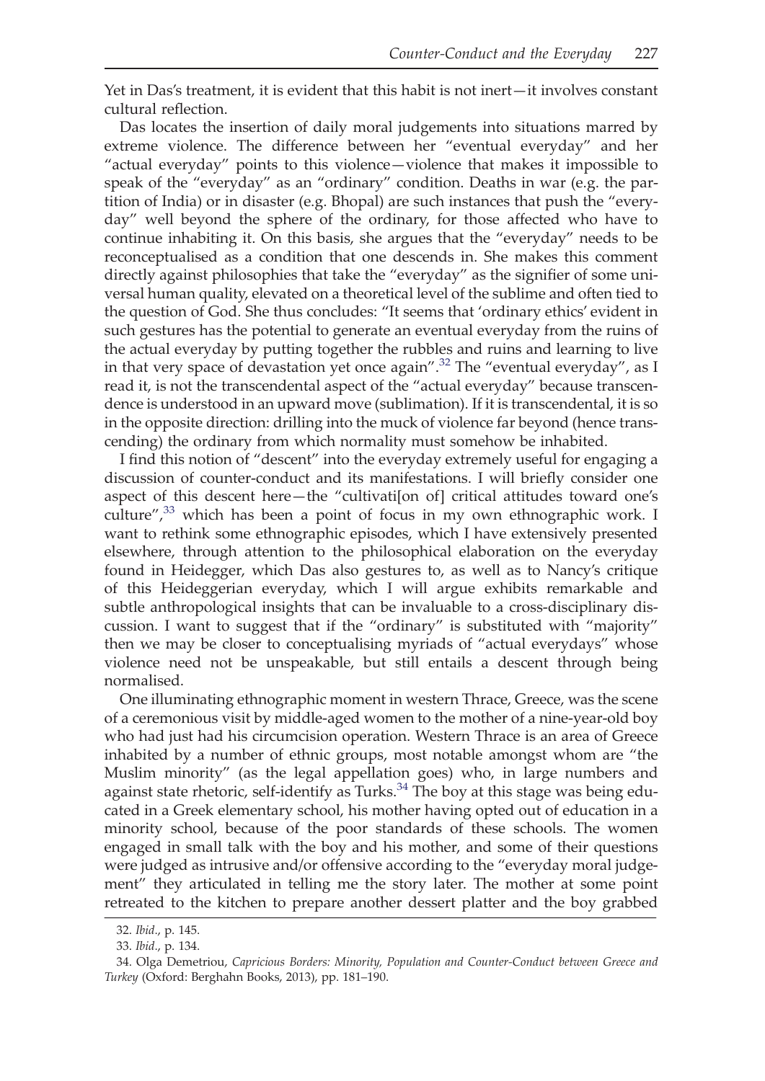Yet in Das's treatment, it is evident that this habit is not inert—it involves constant cultural reflection.

Das locates the insertion of daily moral judgements into situations marred by extreme violence. The difference between her "eventual everyday" and her "actual everyday" points to this violence—violence that makes it impossible to speak of the "everyday" as an "ordinary" condition. Deaths in war (e.g. the partition of India) or in disaster (e.g. Bhopal) are such instances that push the "everyday" well beyond the sphere of the ordinary, for those affected who have to continue inhabiting it. On this basis, she argues that the "everyday" needs to be reconceptualised as a condition that one descends in. She makes this comment directly against philosophies that take the "everyday" as the signifier of some universal human quality, elevated on a theoretical level of the sublime and often tied to the question of God. She thus concludes: "It seems that 'ordinary ethics' evident in such gestures has the potential to generate an eventual everyday from the ruins of the actual everyday by putting together the rubbles and ruins and learning to live in that very space of devastation yet once again". <sup>32</sup> The "eventual everyday", as I read it, is not the transcendental aspect of the "actual everyday" because transcendence is understood in an upward move (sublimation). If it is transcendental, it is so in the opposite direction: drilling into the muck of violence far beyond (hence transcending) the ordinary from which normality must somehow be inhabited.

I find this notion of "descent" into the everyday extremely useful for engaging a discussion of counter-conduct and its manifestations. I will briefly consider one aspect of this descent here—the "cultivati[on of] critical attitudes toward one's culture",<sup>33</sup> which has been a point of focus in my own ethnographic work. I want to rethink some ethnographic episodes, which I have extensively presented elsewhere, through attention to the philosophical elaboration on the everyday found in Heidegger, which Das also gestures to, as well as to Nancy's critique of this Heideggerian everyday, which I will argue exhibits remarkable and subtle anthropological insights that can be invaluable to a cross-disciplinary discussion. I want to suggest that if the "ordinary" is substituted with "majority" then we may be closer to conceptualising myriads of "actual everydays" whose violence need not be unspeakable, but still entails a descent through being normalised.

One illuminating ethnographic moment in western Thrace, Greece, was the scene of a ceremonious visit by middle-aged women to the mother of a nine-year-old boy who had just had his circumcision operation. Western Thrace is an area of Greece inhabited by a number of ethnic groups, most notable amongst whom are "the Muslim minority" (as the legal appellation goes) who, in large numbers and against state rhetoric, self-identify as Turks. $34$  The boy at this stage was being educated in a Greek elementary school, his mother having opted out of education in a minority school, because of the poor standards of these schools. The women engaged in small talk with the boy and his mother, and some of their questions were judged as intrusive and/or offensive according to the "everyday moral judgement" they articulated in telling me the story later. The mother at some point retreated to the kitchen to prepare another dessert platter and the boy grabbed

<sup>32.</sup> Ibid., p. 145.

<sup>33.</sup> Ibid., p. 134.

<sup>34.</sup> Olga Demetriou, Capricious Borders: Minority, Population and Counter-Conduct between Greece and Turkey (Oxford: Berghahn Books, 2013), pp. 181–190.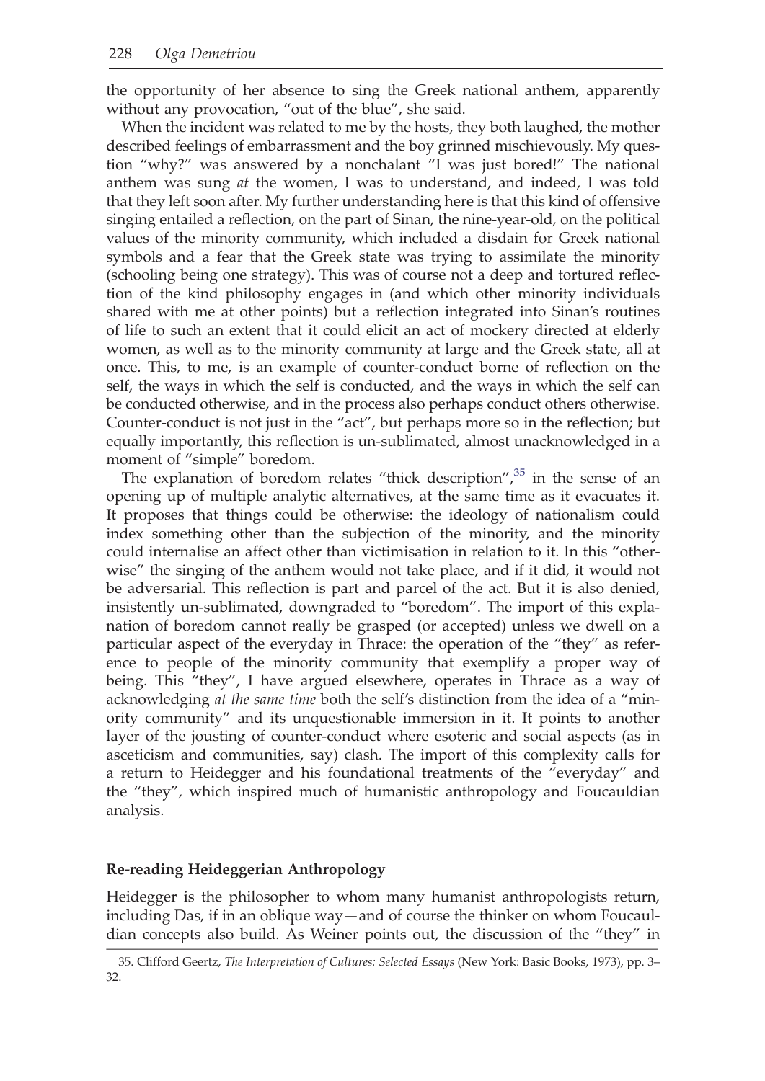the opportunity of her absence to sing the Greek national anthem, apparently without any provocation, "out of the blue", she said.

When the incident was related to me by the hosts, they both laughed, the mother described feelings of embarrassment and the boy grinned mischievously. My question "why?" was answered by a nonchalant "I was just bored!" The national anthem was sung at the women, I was to understand, and indeed, I was told that they left soon after. My further understanding here is that this kind of offensive singing entailed a reflection, on the part of Sinan, the nine-year-old, on the political values of the minority community, which included a disdain for Greek national symbols and a fear that the Greek state was trying to assimilate the minority (schooling being one strategy). This was of course not a deep and tortured reflection of the kind philosophy engages in (and which other minority individuals shared with me at other points) but a reflection integrated into Sinan's routines of life to such an extent that it could elicit an act of mockery directed at elderly women, as well as to the minority community at large and the Greek state, all at once. This, to me, is an example of counter-conduct borne of reflection on the self, the ways in which the self is conducted, and the ways in which the self can be conducted otherwise, and in the process also perhaps conduct others otherwise. Counter-conduct is not just in the "act", but perhaps more so in the reflection; but equally importantly, this reflection is un-sublimated, almost unacknowledged in a moment of "simple" boredom.

The explanation of boredom relates "thick description", $35$  in the sense of an opening up of multiple analytic alternatives, at the same time as it evacuates it. It proposes that things could be otherwise: the ideology of nationalism could index something other than the subjection of the minority, and the minority could internalise an affect other than victimisation in relation to it. In this "otherwise" the singing of the anthem would not take place, and if it did, it would not be adversarial. This reflection is part and parcel of the act. But it is also denied, insistently un-sublimated, downgraded to "boredom". The import of this explanation of boredom cannot really be grasped (or accepted) unless we dwell on a particular aspect of the everyday in Thrace: the operation of the "they" as reference to people of the minority community that exemplify a proper way of being. This "they", I have argued elsewhere, operates in Thrace as a way of acknowledging at the same time both the self's distinction from the idea of a "minority community" and its unquestionable immersion in it. It points to another layer of the jousting of counter-conduct where esoteric and social aspects (as in asceticism and communities, say) clash. The import of this complexity calls for a return to Heidegger and his foundational treatments of the "everyday" and the "they", which inspired much of humanistic anthropology and Foucauldian analysis.

# Re-reading Heideggerian Anthropology

Heidegger is the philosopher to whom many humanist anthropologists return, including Das, if in an oblique way—and of course the thinker on whom Foucauldian concepts also build. As Weiner points out, the discussion of the "they" in

<sup>35.</sup> Clifford Geertz, The Interpretation of Cultures: Selected Essays (New York: Basic Books, 1973), pp. 3– 32.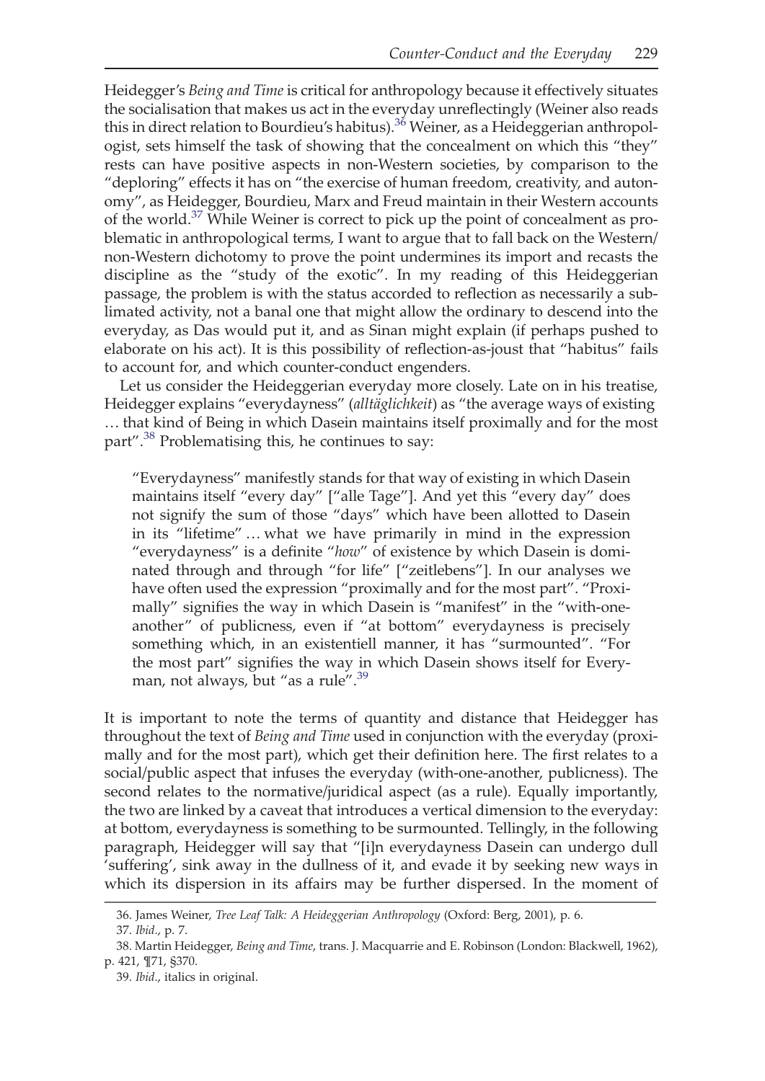Heidegger's Being and Time is critical for anthropology because it effectively situates the socialisation that makes us act in the everyday unreflectingly (Weiner also reads this in direct relation to Bourdieu's habitus).<sup>36</sup> Weiner, as a Heideggerian anthropologist, sets himself the task of showing that the concealment on which this "they" rests can have positive aspects in non-Western societies, by comparison to the "deploring" effects it has on "the exercise of human freedom, creativity, and autonomy", as Heidegger, Bourdieu, Marx and Freud maintain in their Western accounts of the world.<sup>37</sup> While Weiner is correct to pick up the point of concealment as problematic in anthropological terms, I want to argue that to fall back on the Western/ non-Western dichotomy to prove the point undermines its import and recasts the discipline as the "study of the exotic". In my reading of this Heideggerian passage, the problem is with the status accorded to reflection as necessarily a sublimated activity, not a banal one that might allow the ordinary to descend into the everyday, as Das would put it, and as Sinan might explain (if perhaps pushed to elaborate on his act). It is this possibility of reflection-as-joust that "habitus" fails to account for, and which counter-conduct engenders.

Let us consider the Heideggerian everyday more closely. Late on in his treatise, Heidegger explains "everydayness" (alltäglichkeit) as "the average ways of existing … that kind of Being in which Dasein maintains itself proximally and for the most part".<sup>38</sup> Problematising this, he continues to say:

"Everydayness" manifestly stands for that way of existing in which Dasein maintains itself "every day" ["alle Tage"]. And yet this "every day" does not signify the sum of those "days" which have been allotted to Dasein in its "lifetime" … what we have primarily in mind in the expression "everydayness" is a definite "how" of existence by which Dasein is dominated through and through "for life" ["zeitlebens"]. In our analyses we have often used the expression "proximally and for the most part". "Proximally" signifies the way in which Dasein is "manifest" in the "with-oneanother" of publicness, even if "at bottom" everydayness is precisely something which, in an existentiell manner, it has "surmounted". "For the most part" signifies the way in which Dasein shows itself for Everyman, not always, but "as a rule".<sup>39</sup>

It is important to note the terms of quantity and distance that Heidegger has throughout the text of Being and Time used in conjunction with the everyday (proximally and for the most part), which get their definition here. The first relates to a social/public aspect that infuses the everyday (with-one-another, publicness). The second relates to the normative/juridical aspect (as a rule). Equally importantly, the two are linked by a caveat that introduces a vertical dimension to the everyday: at bottom, everydayness is something to be surmounted. Tellingly, in the following paragraph, Heidegger will say that "[i]n everydayness Dasein can undergo dull 'suffering', sink away in the dullness of it, and evade it by seeking new ways in which its dispersion in its affairs may be further dispersed. In the moment of

<sup>36.</sup> James Weiner, Tree Leaf Talk: A Heideggerian Anthropology (Oxford: Berg, 2001), p. 6.

<sup>37.</sup> Ibid., p. 7.

<sup>38.</sup> Martin Heidegger, Being and Time, trans. J. Macquarrie and E. Robinson (London: Blackwell, 1962), p. 421, ¶71, §370.

<sup>39.</sup> Ibid., italics in original.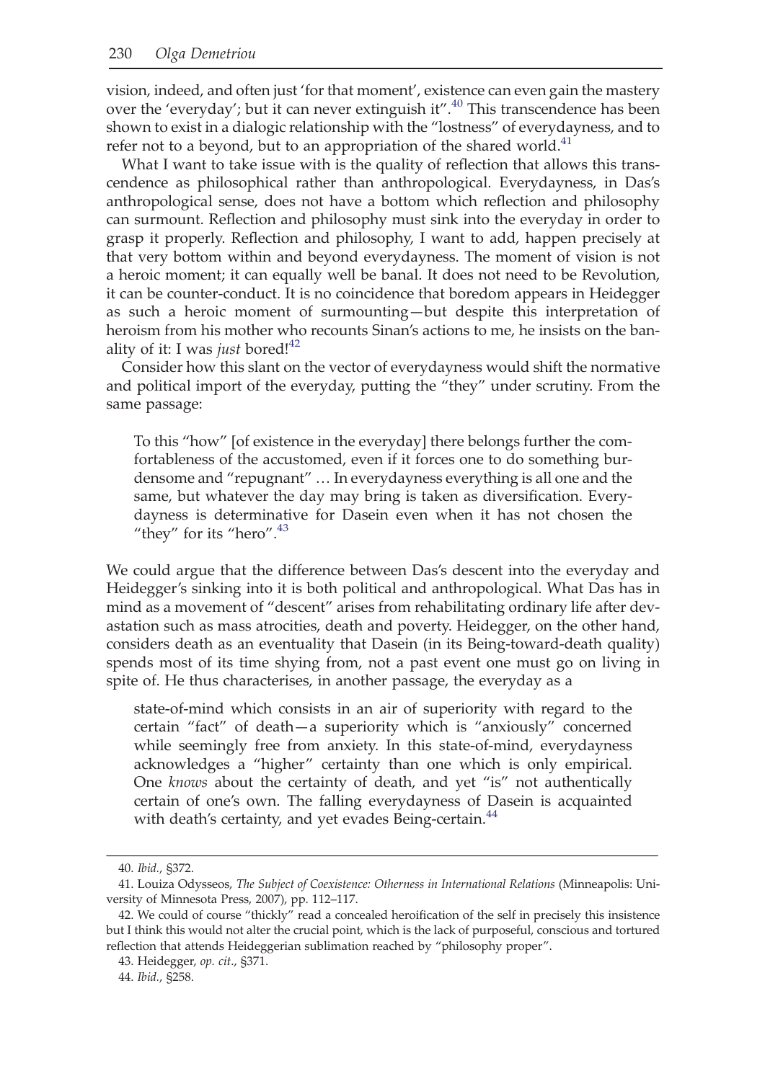vision, indeed, and often just 'for that moment', existence can even gain the mastery over the 'everyday'; but it can never extinguish it".<sup>40</sup> This transcendence has been shown to exist in a dialogic relationship with the "lostness" of everydayness, and to refer not to a beyond, but to an appropriation of the shared world.<sup>41</sup>

What I want to take issue with is the quality of reflection that allows this transcendence as philosophical rather than anthropological. Everydayness, in Das's anthropological sense, does not have a bottom which reflection and philosophy can surmount. Reflection and philosophy must sink into the everyday in order to grasp it properly. Reflection and philosophy, I want to add, happen precisely at that very bottom within and beyond everydayness. The moment of vision is not a heroic moment; it can equally well be banal. It does not need to be Revolution, it can be counter-conduct. It is no coincidence that boredom appears in Heidegger as such a heroic moment of surmounting—but despite this interpretation of heroism from his mother who recounts Sinan's actions to me, he insists on the banality of it: I was *just* bored! $42$ 

Consider how this slant on the vector of everydayness would shift the normative and political import of the everyday, putting the "they" under scrutiny. From the same passage:

To this "how" [of existence in the everyday] there belongs further the comfortableness of the accustomed, even if it forces one to do something burdensome and "repugnant" … In everydayness everything is all one and the same, but whatever the day may bring is taken as diversification. Everydayness is determinative for Dasein even when it has not chosen the "they" for its "hero".<sup>43</sup>

We could argue that the difference between Das's descent into the everyday and Heidegger's sinking into it is both political and anthropological. What Das has in mind as a movement of "descent" arises from rehabilitating ordinary life after devastation such as mass atrocities, death and poverty. Heidegger, on the other hand, considers death as an eventuality that Dasein (in its Being-toward-death quality) spends most of its time shying from, not a past event one must go on living in spite of. He thus characterises, in another passage, the everyday as a

state-of-mind which consists in an air of superiority with regard to the certain "fact" of death—a superiority which is "anxiously" concerned while seemingly free from anxiety. In this state-of-mind, everydayness acknowledges a "higher" certainty than one which is only empirical. One knows about the certainty of death, and yet "is" not authentically certain of one's own. The falling everydayness of Dasein is acquainted with death's certainty, and yet evades Being-certain.<sup>44</sup>

<sup>40.</sup> Ibid., §372.

<sup>41.</sup> Louiza Odysseos, The Subject of Coexistence: Otherness in International Relations (Minneapolis: University of Minnesota Press, 2007), pp. 112–117.

<sup>42.</sup> We could of course "thickly" read a concealed heroification of the self in precisely this insistence but I think this would not alter the crucial point, which is the lack of purposeful, conscious and tortured reflection that attends Heideggerian sublimation reached by "philosophy proper".

<sup>43.</sup> Heidegger, op. cit., §371.

<sup>44.</sup> Ibid., §258.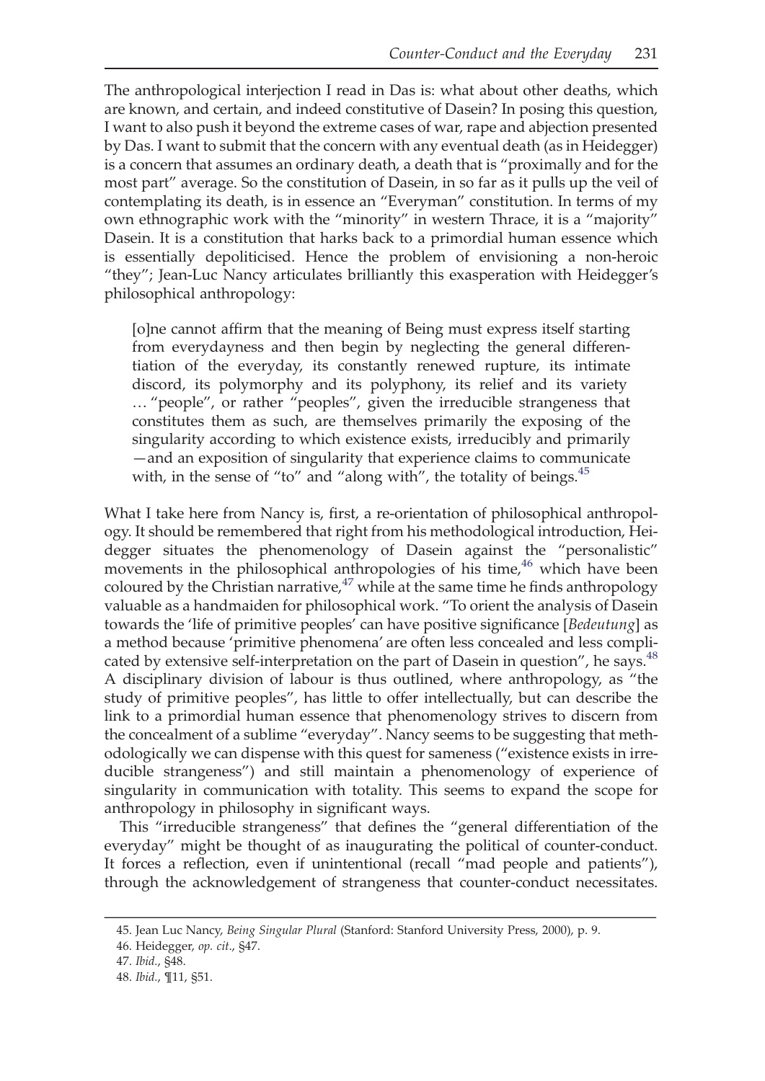The anthropological interjection I read in Das is: what about other deaths, which are known, and certain, and indeed constitutive of Dasein? In posing this question, I want to also push it beyond the extreme cases of war, rape and abjection presented by Das. I want to submit that the concern with any eventual death (as in Heidegger) is a concern that assumes an ordinary death, a death that is "proximally and for the most part" average. So the constitution of Dasein, in so far as it pulls up the veil of contemplating its death, is in essence an "Everyman" constitution. In terms of my own ethnographic work with the "minority" in western Thrace, it is a "majority" Dasein. It is a constitution that harks back to a primordial human essence which is essentially depoliticised. Hence the problem of envisioning a non-heroic "they"; Jean-Luc Nancy articulates brilliantly this exasperation with Heidegger's philosophical anthropology:

[o]ne cannot affirm that the meaning of Being must express itself starting from everydayness and then begin by neglecting the general differentiation of the everyday, its constantly renewed rupture, its intimate discord, its polymorphy and its polyphony, its relief and its variety … "people", or rather "peoples", given the irreducible strangeness that constitutes them as such, are themselves primarily the exposing of the singularity according to which existence exists, irreducibly and primarily —and an exposition of singularity that experience claims to communicate with, in the sense of "to" and "along with", the totality of beings. $45$ 

What I take here from Nancy is, first, a re-orientation of philosophical anthropology. It should be remembered that right from his methodological introduction, Heidegger situates the phenomenology of Dasein against the "personalistic" movements in the philosophical anthropologies of his time,<sup>46</sup> which have been coloured by the Christian narrative, $47$  while at the same time he finds anthropology valuable as a handmaiden for philosophical work. "To orient the analysis of Dasein towards the 'life of primitive peoples' can have positive significance [Bedeutung] as a method because 'primitive phenomena' are often less concealed and less complicated by extensive self-interpretation on the part of Dasein in question", he says. $^{48}$ A disciplinary division of labour is thus outlined, where anthropology, as "the study of primitive peoples", has little to offer intellectually, but can describe the link to a primordial human essence that phenomenology strives to discern from the concealment of a sublime "everyday". Nancy seems to be suggesting that methodologically we can dispense with this quest for sameness ("existence exists in irreducible strangeness") and still maintain a phenomenology of experience of singularity in communication with totality. This seems to expand the scope for anthropology in philosophy in significant ways.

This "irreducible strangeness" that defines the "general differentiation of the everyday" might be thought of as inaugurating the political of counter-conduct. It forces a reflection, even if unintentional (recall "mad people and patients"), through the acknowledgement of strangeness that counter-conduct necessitates.

<sup>45.</sup> Jean Luc Nancy, Being Singular Plural (Stanford: Stanford University Press, 2000), p. 9.

<sup>46.</sup> Heidegger, op. cit., §47.

<sup>47.</sup> Ibid., §48.

<sup>48.</sup> Ibid., ¶11, §51.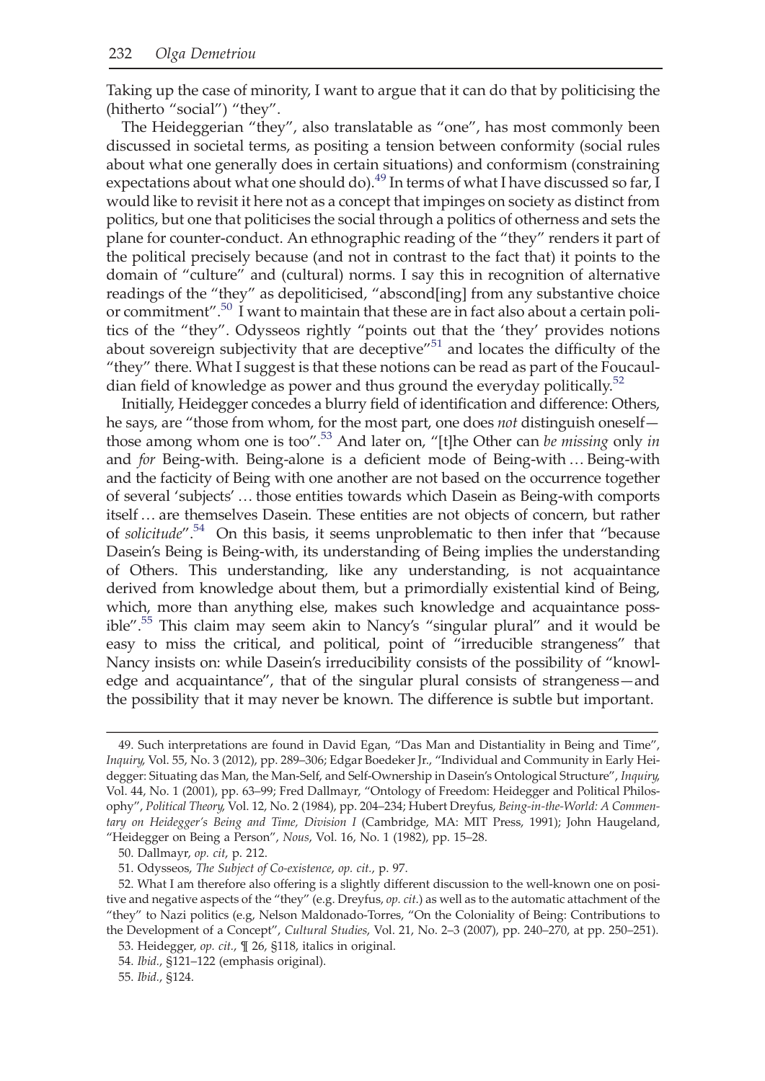Taking up the case of minority, I want to argue that it can do that by politicising the (hitherto "social") "they".

The Heideggerian "they", also translatable as "one", has most commonly been discussed in societal terms, as positing a tension between conformity (social rules about what one generally does in certain situations) and conformism (constraining expectations about what one should do).<sup>49</sup> In terms of what I have discussed so far, I would like to revisit it here not as a concept that impinges on society as distinct from politics, but one that politicises the social through a politics of otherness and sets the plane for counter-conduct. An ethnographic reading of the "they" renders it part of the political precisely because (and not in contrast to the fact that) it points to the domain of "culture" and (cultural) norms. I say this in recognition of alternative readings of the "they" as depoliticised, "abscond[ing] from any substantive choice or commitment".<sup>50</sup> I want to maintain that these are in fact also about a certain politics of the "they". Odysseos rightly "points out that the 'they' provides notions about sovereign subjectivity that are deceptive"<sup>51</sup> and locates the difficulty of the "they" there. What I suggest is that these notions can be read as part of the Foucauldian field of knowledge as power and thus ground the everyday politically.<sup>52</sup>

Initially, Heidegger concedes a blurry field of identification and difference: Others, he says, are "those from whom, for the most part, one does not distinguish oneself those among whom one is too".<sup>53</sup> And later on, "[t]he Other can be missing only in and for Being-with. Being-alone is a deficient mode of Being-with … Being-with and the facticity of Being with one another are not based on the occurrence together of several 'subjects' … those entities towards which Dasein as Being-with comports itself … are themselves Dasein. These entities are not objects of concern, but rather of solicitude".<sup>54</sup> On this basis, it seems unproblematic to then infer that "because Dasein's Being is Being-with, its understanding of Being implies the understanding of Others. This understanding, like any understanding, is not acquaintance derived from knowledge about them, but a primordially existential kind of Being, which, more than anything else, makes such knowledge and acquaintance possible". <sup>55</sup> This claim may seem akin to Nancy's "singular plural" and it would be easy to miss the critical, and political, point of "irreducible strangeness" that Nancy insists on: while Dasein's irreducibility consists of the possibility of "knowledge and acquaintance", that of the singular plural consists of strangeness—and the possibility that it may never be known. The difference is subtle but important.

<sup>49.</sup> Such interpretations are found in David Egan, "Das Man and Distantiality in Being and Time", Inquiry, Vol. 55, No. 3 (2012), pp. 289–306; Edgar Boedeker Jr., "Individual and Community in Early Heidegger: Situating das Man, the Man-Self, and Self-Ownership in Dasein's Ontological Structure", Inquiry, Vol. 44, No. 1 (2001), pp. 63–99; Fred Dallmayr, "Ontology of Freedom: Heidegger and Political Philosophy", Political Theory, Vol. 12, No. 2 (1984), pp. 204–234; Hubert Dreyfus, Being-in-the-World: A Commentary on Heidegger's Being and Time, Division I (Cambridge, MA: MIT Press, 1991); John Haugeland, "Heidegger on Being a Person", Nous, Vol. 16, No. 1 (1982), pp. 15–28.

<sup>50.</sup> Dallmayr, op. cit, p. 212.

<sup>51.</sup> Odysseos, The Subject of Co-existence, op. cit., p. 97.

<sup>52.</sup> What I am therefore also offering is a slightly different discussion to the well-known one on positive and negative aspects of the "they" (e.g. Dreyfus, op. cit.) as well as to the automatic attachment of the "they" to Nazi politics (e.g, Nelson Maldonado-Torres, "On the Coloniality of Being: Contributions to the Development of a Concept", Cultural Studies, Vol. 21, No. 2–3 (2007), pp. 240–270, at pp. 250–251).

<sup>53.</sup> Heidegger, op. cit., ¶ 26, §118, italics in original.

<sup>54.</sup> Ibid., §121–122 (emphasis original).

<sup>55.</sup> Ibid., §124.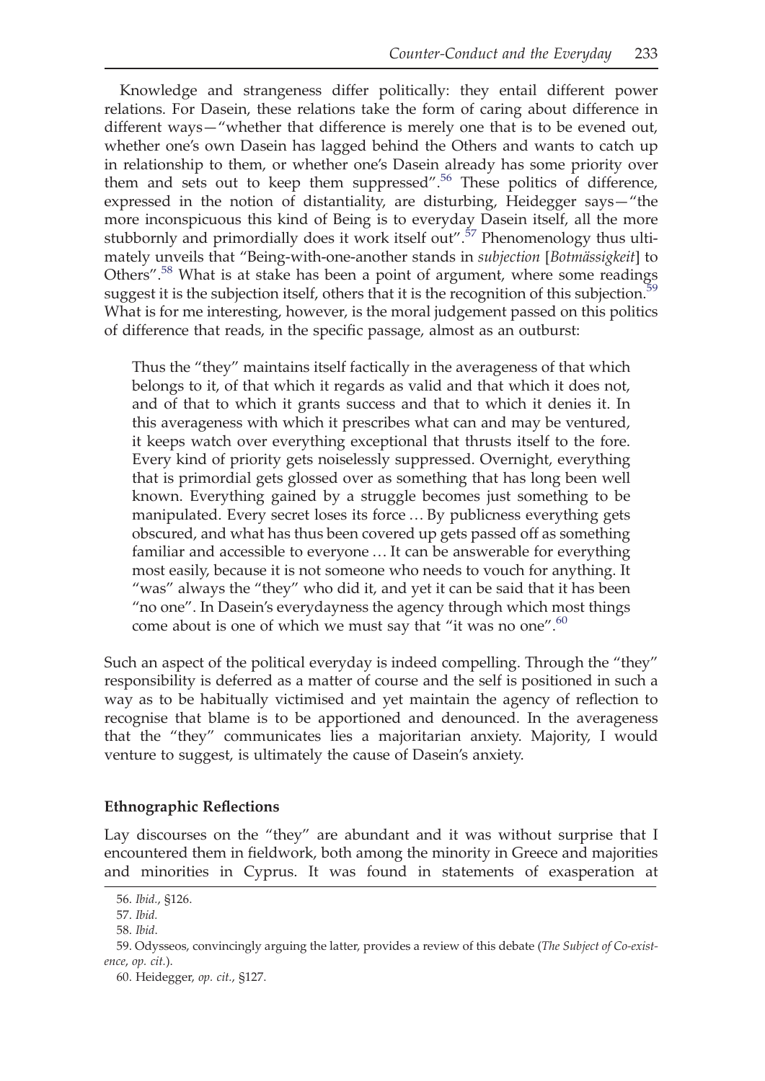Knowledge and strangeness differ politically: they entail different power relations. For Dasein, these relations take the form of caring about difference in different ways—"whether that difference is merely one that is to be evened out, whether one's own Dasein has lagged behind the Others and wants to catch up in relationship to them, or whether one's Dasein already has some priority over them and sets out to keep them suppressed".<sup>56</sup> These politics of difference, expressed in the notion of distantiality, are disturbing, Heidegger says—"the more inconspicuous this kind of Being is to everyday Dasein itself, all the more stubbornly and primordially does it work itself out".<sup>57</sup> Phenomenology thus ultimately unveils that "Being-with-one-another stands in subjection [Botmässigkeit] to Others".<sup>58</sup> What is at stake has been a point of argument, where some readings suggest it is the subjection itself, others that it is the recognition of this subjection.<sup>59</sup> What is for me interesting, however, is the moral judgement passed on this politics of difference that reads, in the specific passage, almost as an outburst:

Thus the "they" maintains itself factically in the averageness of that which belongs to it, of that which it regards as valid and that which it does not, and of that to which it grants success and that to which it denies it. In this averageness with which it prescribes what can and may be ventured, it keeps watch over everything exceptional that thrusts itself to the fore. Every kind of priority gets noiselessly suppressed. Overnight, everything that is primordial gets glossed over as something that has long been well known. Everything gained by a struggle becomes just something to be manipulated. Every secret loses its force … By publicness everything gets obscured, and what has thus been covered up gets passed off as something familiar and accessible to everyone … It can be answerable for everything most easily, because it is not someone who needs to vouch for anything. It "was" always the "they" who did it, and yet it can be said that it has been "no one". In Dasein's everydayness the agency through which most things come about is one of which we must say that "it was no one".<sup>60</sup>

Such an aspect of the political everyday is indeed compelling. Through the "they" responsibility is deferred as a matter of course and the self is positioned in such a way as to be habitually victimised and yet maintain the agency of reflection to recognise that blame is to be apportioned and denounced. In the averageness that the "they" communicates lies a majoritarian anxiety. Majority, I would venture to suggest, is ultimately the cause of Dasein's anxiety.

#### Ethnographic Reflections

Lay discourses on the "they" are abundant and it was without surprise that I encountered them in fieldwork, both among the minority in Greece and majorities and minorities in Cyprus. It was found in statements of exasperation at

<sup>56.</sup> Ibid., §126.

<sup>57.</sup> Ibid.

<sup>58.</sup> Ibid.

<sup>59.</sup> Odysseos, convincingly arguing the latter, provides a review of this debate (The Subject of Co-existence, op. cit.).

<sup>60.</sup> Heidegger, op. cit., §127.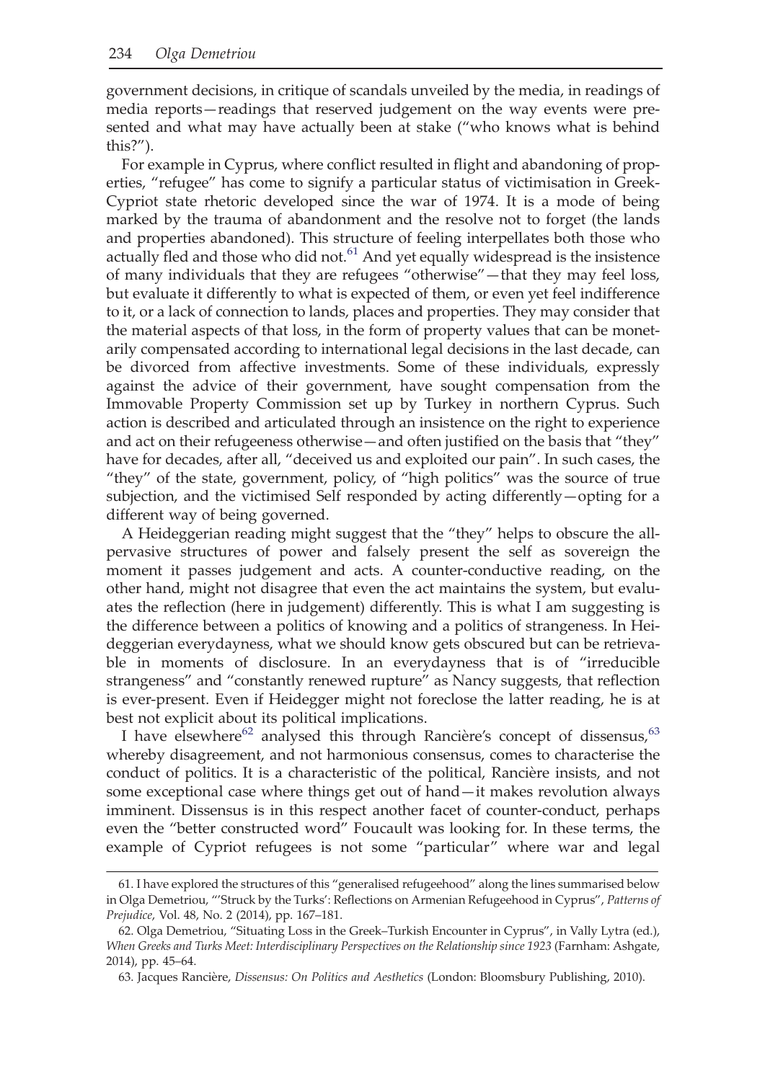government decisions, in critique of scandals unveiled by the media, in readings of media reports—readings that reserved judgement on the way events were presented and what may have actually been at stake ("who knows what is behind this?").

For example in Cyprus, where conflict resulted in flight and abandoning of properties, "refugee" has come to signify a particular status of victimisation in Greek-Cypriot state rhetoric developed since the war of 1974. It is a mode of being marked by the trauma of abandonment and the resolve not to forget (the lands and properties abandoned). This structure of feeling interpellates both those who actually fled and those who did not.<sup>61</sup> And yet equally widespread is the insistence of many individuals that they are refugees "otherwise"—that they may feel loss, but evaluate it differently to what is expected of them, or even yet feel indifference to it, or a lack of connection to lands, places and properties. They may consider that the material aspects of that loss, in the form of property values that can be monetarily compensated according to international legal decisions in the last decade, can be divorced from affective investments. Some of these individuals, expressly against the advice of their government, have sought compensation from the Immovable Property Commission set up by Turkey in northern Cyprus. Such action is described and articulated through an insistence on the right to experience and act on their refugeeness otherwise—and often justified on the basis that "they" have for decades, after all, "deceived us and exploited our pain". In such cases, the "they" of the state, government, policy, of "high politics" was the source of true subjection, and the victimised Self responded by acting differently—opting for a different way of being governed.

A Heideggerian reading might suggest that the "they" helps to obscure the allpervasive structures of power and falsely present the self as sovereign the moment it passes judgement and acts. A counter-conductive reading, on the other hand, might not disagree that even the act maintains the system, but evaluates the reflection (here in judgement) differently. This is what I am suggesting is the difference between a politics of knowing and a politics of strangeness. In Heideggerian everydayness, what we should know gets obscured but can be retrievable in moments of disclosure. In an everydayness that is of "irreducible strangeness" and "constantly renewed rupture" as Nancy suggests, that reflection is ever-present. Even if Heidegger might not foreclose the latter reading, he is at best not explicit about its political implications.

I have elsewhere<sup>62</sup> analysed this through Rancière's concept of dissensus,  $63$ whereby disagreement, and not harmonious consensus, comes to characterise the conduct of politics. It is a characteristic of the political, Rancière insists, and not some exceptional case where things get out of hand—it makes revolution always imminent. Dissensus is in this respect another facet of counter-conduct, perhaps even the "better constructed word" Foucault was looking for. In these terms, the example of Cypriot refugees is not some "particular" where war and legal

<sup>61.</sup> I have explored the structures of this "generalised refugeehood" along the lines summarised below in Olga Demetriou, "'Struck by the Turks': Reflections on Armenian Refugeehood in Cyprus", Patterns of Prejudice, Vol. 48, No. 2 (2014), pp. 167–181.

<sup>62.</sup> Olga Demetriou, "Situating Loss in the Greek–Turkish Encounter in Cyprus", in Vally Lytra (ed.), When Greeks and Turks Meet: Interdisciplinary Perspectives on the Relationship since 1923 (Farnham: Ashgate, 2014), pp. 45–64.

<sup>63.</sup> Jacques Rancière, Dissensus: On Politics and Aesthetics (London: Bloomsbury Publishing, 2010).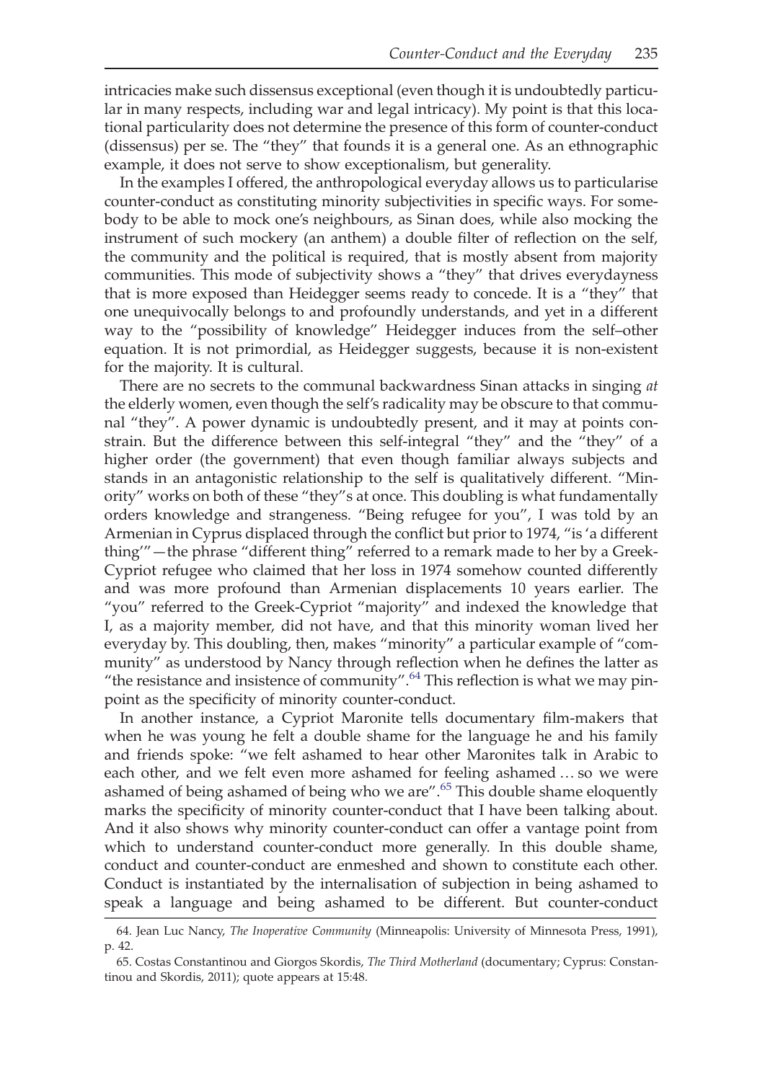intricacies make such dissensus exceptional (even though it is undoubtedly particular in many respects, including war and legal intricacy). My point is that this locational particularity does not determine the presence of this form of counter-conduct (dissensus) per se. The "they" that founds it is a general one. As an ethnographic example, it does not serve to show exceptionalism, but generality.

In the examples I offered, the anthropological everyday allows us to particularise counter-conduct as constituting minority subjectivities in specific ways. For somebody to be able to mock one's neighbours, as Sinan does, while also mocking the instrument of such mockery (an anthem) a double filter of reflection on the self, the community and the political is required, that is mostly absent from majority communities. This mode of subjectivity shows a "they" that drives everydayness that is more exposed than Heidegger seems ready to concede. It is a "they" that one unequivocally belongs to and profoundly understands, and yet in a different way to the "possibility of knowledge" Heidegger induces from the self–other equation. It is not primordial, as Heidegger suggests, because it is non-existent for the majority. It is cultural.

There are no secrets to the communal backwardness Sinan attacks in singing at the elderly women, even though the self's radicality may be obscure to that communal "they". A power dynamic is undoubtedly present, and it may at points constrain. But the difference between this self-integral "they" and the "they" of a higher order (the government) that even though familiar always subjects and stands in an antagonistic relationship to the self is qualitatively different. "Minority" works on both of these "they"s at once. This doubling is what fundamentally orders knowledge and strangeness. "Being refugee for you", I was told by an Armenian in Cyprus displaced through the conflict but prior to 1974, "is 'a different thing'"—the phrase "different thing" referred to a remark made to her by a Greek-Cypriot refugee who claimed that her loss in 1974 somehow counted differently and was more profound than Armenian displacements 10 years earlier. The "you" referred to the Greek-Cypriot "majority" and indexed the knowledge that I, as a majority member, did not have, and that this minority woman lived her everyday by. This doubling, then, makes "minority" a particular example of "community" as understood by Nancy through reflection when he defines the latter as "the resistance and insistence of community".<sup>64</sup> This reflection is what we may pinpoint as the specificity of minority counter-conduct.

In another instance, a Cypriot Maronite tells documentary film-makers that when he was young he felt a double shame for the language he and his family and friends spoke: "we felt ashamed to hear other Maronites talk in Arabic to each other, and we felt even more ashamed for feeling ashamed … so we were ashamed of being ashamed of being who we are".<sup>65</sup> This double shame eloquently marks the specificity of minority counter-conduct that I have been talking about. And it also shows why minority counter-conduct can offer a vantage point from which to understand counter-conduct more generally. In this double shame, conduct and counter-conduct are enmeshed and shown to constitute each other. Conduct is instantiated by the internalisation of subjection in being ashamed to speak a language and being ashamed to be different. But counter-conduct

<sup>64.</sup> Jean Luc Nancy, The Inoperative Community (Minneapolis: University of Minnesota Press, 1991), p. 42.

<sup>65.</sup> Costas Constantinou and Giorgos Skordis, The Third Motherland (documentary; Cyprus: Constantinou and Skordis, 2011); quote appears at 15:48.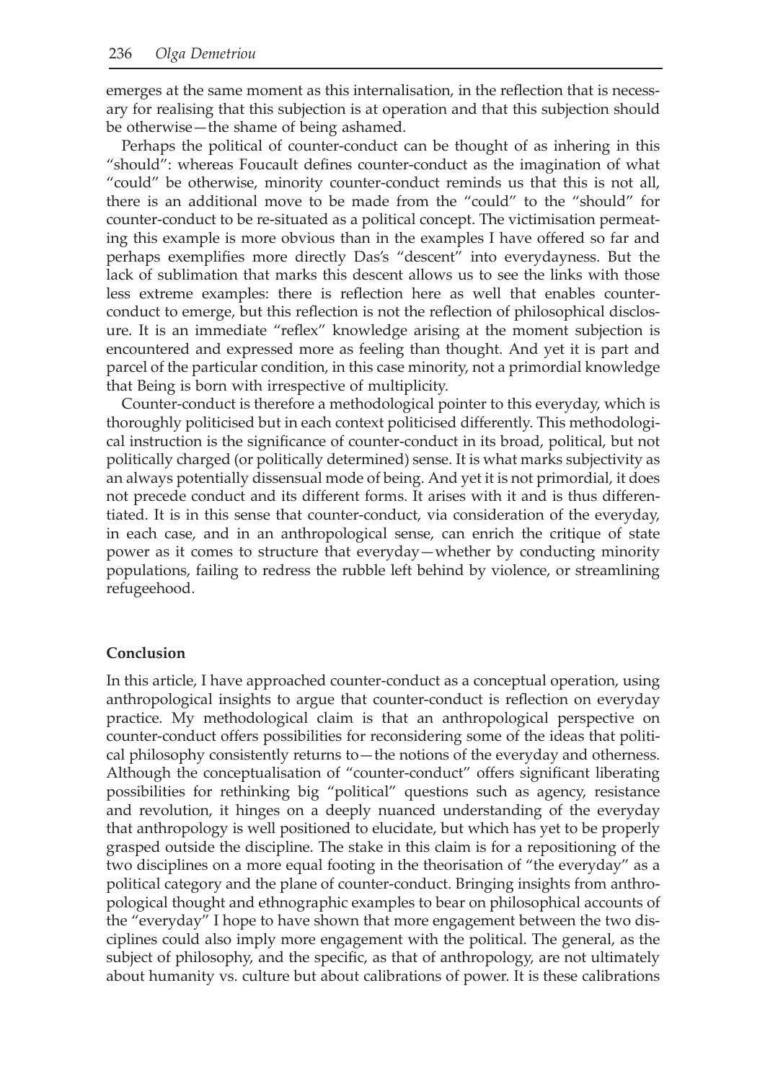emerges at the same moment as this internalisation, in the reflection that is necessary for realising that this subjection is at operation and that this subjection should be otherwise—the shame of being ashamed.

Perhaps the political of counter-conduct can be thought of as inhering in this "should": whereas Foucault defines counter-conduct as the imagination of what "could" be otherwise, minority counter-conduct reminds us that this is not all, there is an additional move to be made from the "could" to the "should" for counter-conduct to be re-situated as a political concept. The victimisation permeating this example is more obvious than in the examples I have offered so far and perhaps exemplifies more directly Das's "descent" into everydayness. But the lack of sublimation that marks this descent allows us to see the links with those less extreme examples: there is reflection here as well that enables counterconduct to emerge, but this reflection is not the reflection of philosophical disclosure. It is an immediate "reflex" knowledge arising at the moment subjection is encountered and expressed more as feeling than thought. And yet it is part and parcel of the particular condition, in this case minority, not a primordial knowledge that Being is born with irrespective of multiplicity.

Counter-conduct is therefore a methodological pointer to this everyday, which is thoroughly politicised but in each context politicised differently. This methodological instruction is the significance of counter-conduct in its broad, political, but not politically charged (or politically determined) sense. It is what marks subjectivity as an always potentially dissensual mode of being. And yet it is not primordial, it does not precede conduct and its different forms. It arises with it and is thus differentiated. It is in this sense that counter-conduct, via consideration of the everyday, in each case, and in an anthropological sense, can enrich the critique of state power as it comes to structure that everyday—whether by conducting minority populations, failing to redress the rubble left behind by violence, or streamlining refugeehood.

# Conclusion

In this article, I have approached counter-conduct as a conceptual operation, using anthropological insights to argue that counter-conduct is reflection on everyday practice. My methodological claim is that an anthropological perspective on counter-conduct offers possibilities for reconsidering some of the ideas that political philosophy consistently returns to—the notions of the everyday and otherness. Although the conceptualisation of "counter-conduct" offers significant liberating possibilities for rethinking big "political" questions such as agency, resistance and revolution, it hinges on a deeply nuanced understanding of the everyday that anthropology is well positioned to elucidate, but which has yet to be properly grasped outside the discipline. The stake in this claim is for a repositioning of the two disciplines on a more equal footing in the theorisation of "the everyday" as a political category and the plane of counter-conduct. Bringing insights from anthropological thought and ethnographic examples to bear on philosophical accounts of the "everyday" I hope to have shown that more engagement between the two disciplines could also imply more engagement with the political. The general, as the subject of philosophy, and the specific, as that of anthropology, are not ultimately about humanity vs. culture but about calibrations of power. It is these calibrations